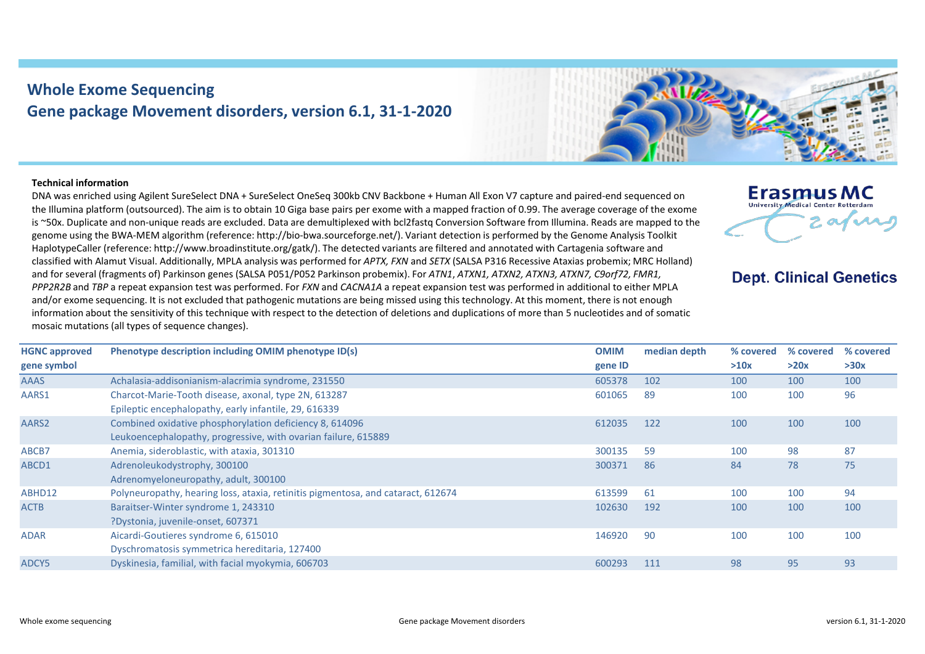## **Whole Exome Sequencing Gene package Movement disorders, version 6.1, 31-1-2020**



## **Technical information**

DNA was enriched using Agilent SureSelect DNA + SureSelect OneSeq 300kb CNV Backbone + Human All Exon V7 capture and paired-end sequenced on the Illumina platform (outsourced). The aim is to obtain 10 Giga base pairs per exome with a mapped fraction of 0.99. The average coverage of the exome is ~50x. Duplicate and non-unique reads are excluded. Data are demultiplexed with bcl2fastq Conversion Software from Illumina. Reads are mapped to the genome using the BWA-MEM algorithm (reference: http://bio-bwa.sourceforge.net/). Variant detection is performed by the Genome Analysis Toolkit HaplotypeCaller (reference: http://www.broadinstitute.org/gatk/). The detected variants are filtered and annotated with Cartagenia software and classified with Alamut Visual. Additionally, MPLA analysis was performed for *APTX, FXN* and *SETX* (SALSA P316 Recessive Ataxias probemix; MRC Holland) and for several (fragments of) Parkinson genes (SALSA P051/P052 Parkinson probemix). For *ATN1*, *ATXN1, ATXN2, ATXN3, ATXN7, C9orf72, FMR1, PPP2R2B* and *TBP* a repeat expansion test was performed. For *FXN* and *CACNA1A* a repeat expansion test was performed in additional to either MPLA and/or exome sequencing. It is not excluded that pathogenic mutations are being missed using this technology. At this moment, there is not enough information about the sensitivity of this technique with respect to the detection of deletions and duplications of more than 5 nucleotides and of somatic mosaic mutations (all types of sequence changes).



## **Dept. Clinical Genetics**

| <b>HGNC approved</b> | Phenotype description including OMIM phenotype ID(s)                             | <b>OMIM</b> | median depth | % covered | % covered | % covered |
|----------------------|----------------------------------------------------------------------------------|-------------|--------------|-----------|-----------|-----------|
| gene symbol          |                                                                                  | gene ID     |              | >10x      | >20x      | >30x      |
| <b>AAAS</b>          | Achalasia-addisonianism-alacrimia syndrome, 231550                               | 605378      | 102          | 100       | 100       | 100       |
| AARS1                | Charcot-Marie-Tooth disease, axonal, type 2N, 613287                             | 601065      | -89          | 100       | 100       | 96        |
|                      | Epileptic encephalopathy, early infantile, 29, 616339                            |             |              |           |           |           |
| AARS2                | Combined oxidative phosphorylation deficiency 8, 614096                          | 612035      | 122          | 100       | 100       | 100       |
|                      | Leukoencephalopathy, progressive, with ovarian failure, 615889                   |             |              |           |           |           |
| ABCB7                | Anemia, sideroblastic, with ataxia, 301310                                       | 300135      | 59           | 100       | 98        | 87        |
| ABCD1                | Adrenoleukodystrophy, 300100                                                     | 300371      | 86           | 84        | 78        | 75        |
|                      | Adrenomyeloneuropathy, adult, 300100                                             |             |              |           |           |           |
| ABHD12               | Polyneuropathy, hearing loss, ataxia, retinitis pigmentosa, and cataract, 612674 | 613599      | 61           | 100       | 100       | 94        |
| <b>ACTB</b>          | Baraitser-Winter syndrome 1, 243310                                              | 102630      | 192          | 100       | 100       | 100       |
|                      | ?Dystonia, juvenile-onset, 607371                                                |             |              |           |           |           |
| <b>ADAR</b>          | Aicardi-Goutieres syndrome 6, 615010                                             | 146920      | 90           | 100       | 100       | 100       |
|                      | Dyschromatosis symmetrica hereditaria, 127400                                    |             |              |           |           |           |
| ADCY5                | Dyskinesia, familial, with facial myokymia, 606703                               | 600293      | 111          | 98        | 95        | 93        |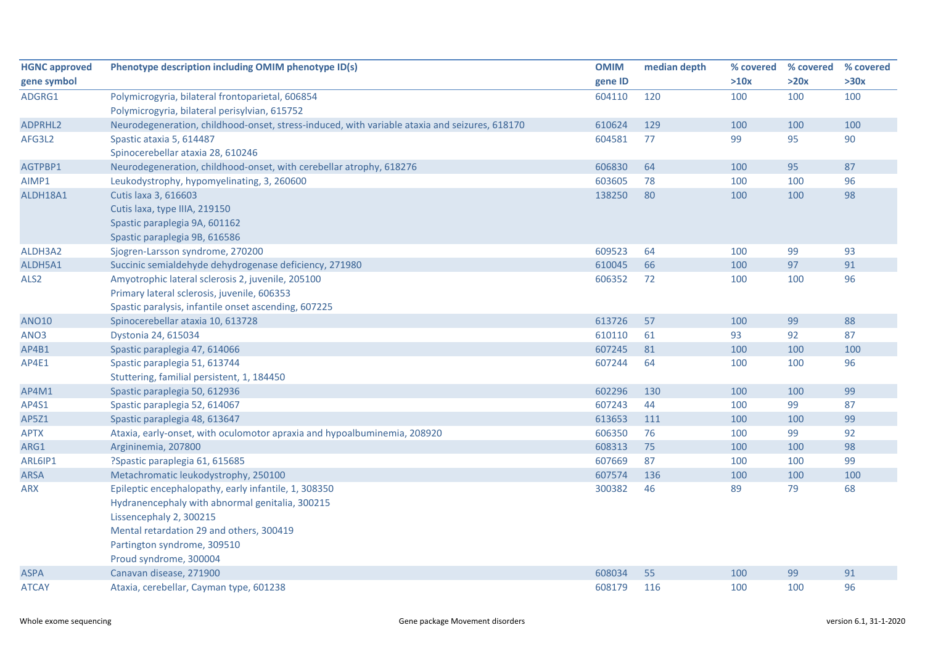| <b>HGNC approved</b> | Phenotype description including OMIM phenotype ID(s)                                          | <b>OMIM</b> | median depth | % covered | % covered | % covered |
|----------------------|-----------------------------------------------------------------------------------------------|-------------|--------------|-----------|-----------|-----------|
| gene symbol          |                                                                                               | gene ID     |              | >10x      | >20x      | >30x      |
| ADGRG1               | Polymicrogyria, bilateral frontoparietal, 606854                                              | 604110      | 120          | 100       | 100       | 100       |
|                      | Polymicrogyria, bilateral perisylvian, 615752                                                 |             |              |           |           |           |
| ADPRHL2              | Neurodegeneration, childhood-onset, stress-induced, with variable ataxia and seizures, 618170 | 610624      | 129          | 100       | 100       | 100       |
| AFG3L2               | Spastic ataxia 5, 614487                                                                      | 604581      | 77           | 99        | 95        | 90        |
|                      | Spinocerebellar ataxia 28, 610246                                                             |             |              |           |           |           |
| AGTPBP1              | Neurodegeneration, childhood-onset, with cerebellar atrophy, 618276                           | 606830      | 64           | 100       | 95        | 87        |
| AIMP1                | Leukodystrophy, hypomyelinating, 3, 260600                                                    | 603605      | 78           | 100       | 100       | 96        |
| ALDH18A1             | Cutis laxa 3, 616603                                                                          | 138250      | 80           | 100       | 100       | 98        |
|                      | Cutis laxa, type IIIA, 219150                                                                 |             |              |           |           |           |
|                      | Spastic paraplegia 9A, 601162                                                                 |             |              |           |           |           |
|                      | Spastic paraplegia 9B, 616586                                                                 |             |              |           |           |           |
| ALDH3A2              | Sjogren-Larsson syndrome, 270200                                                              | 609523      | 64           | 100       | 99        | 93        |
| ALDH5A1              | Succinic semialdehyde dehydrogenase deficiency, 271980                                        | 610045      | 66           | 100       | 97        | 91        |
| ALS2                 | Amyotrophic lateral sclerosis 2, juvenile, 205100                                             | 606352      | 72           | 100       | 100       | 96        |
|                      | Primary lateral sclerosis, juvenile, 606353                                                   |             |              |           |           |           |
|                      | Spastic paralysis, infantile onset ascending, 607225                                          |             |              |           |           |           |
| <b>ANO10</b>         | Spinocerebellar ataxia 10, 613728                                                             | 613726      | 57           | 100       | 99        | 88        |
| ANO3                 | Dystonia 24, 615034                                                                           | 610110      | 61           | 93        | 92        | 87        |
| AP4B1                | Spastic paraplegia 47, 614066                                                                 | 607245      | 81           | 100       | 100       | 100       |
| AP4E1                | Spastic paraplegia 51, 613744                                                                 | 607244      | 64           | 100       | 100       | 96        |
|                      | Stuttering, familial persistent, 1, 184450                                                    |             |              |           |           |           |
| AP4M1                | Spastic paraplegia 50, 612936                                                                 | 602296      | 130          | 100       | 100       | 99        |
| AP4S1                | Spastic paraplegia 52, 614067                                                                 | 607243      | 44           | 100       | 99        | 87        |
| AP5Z1                | Spastic paraplegia 48, 613647                                                                 | 613653      | 111          | 100       | 100       | 99        |
| <b>APTX</b>          | Ataxia, early-onset, with oculomotor apraxia and hypoalbuminemia, 208920                      | 606350      | 76           | 100       | 99        | 92        |
| ARG1                 | Argininemia, 207800                                                                           | 608313      | 75           | 100       | 100       | 98        |
| ARL6IP1              | ?Spastic paraplegia 61, 615685                                                                | 607669      | 87           | 100       | 100       | 99        |
| ARSA                 | Metachromatic leukodystrophy, 250100                                                          | 607574      | 136          | 100       | 100       | 100       |
| <b>ARX</b>           | Epileptic encephalopathy, early infantile, 1, 308350                                          | 300382      | 46           | 89        | 79        | 68        |
|                      | Hydranencephaly with abnormal genitalia, 300215                                               |             |              |           |           |           |
|                      | Lissencephaly 2, 300215                                                                       |             |              |           |           |           |
|                      | Mental retardation 29 and others, 300419                                                      |             |              |           |           |           |
|                      | Partington syndrome, 309510                                                                   |             |              |           |           |           |
|                      | Proud syndrome, 300004                                                                        |             |              |           |           |           |
| <b>ASPA</b>          | Canavan disease, 271900                                                                       | 608034      | 55           | 100       | 99        | 91        |
| <b>ATCAY</b>         | Ataxia, cerebellar, Cayman type, 601238                                                       | 608179      | 116          | 100       | 100       | 96        |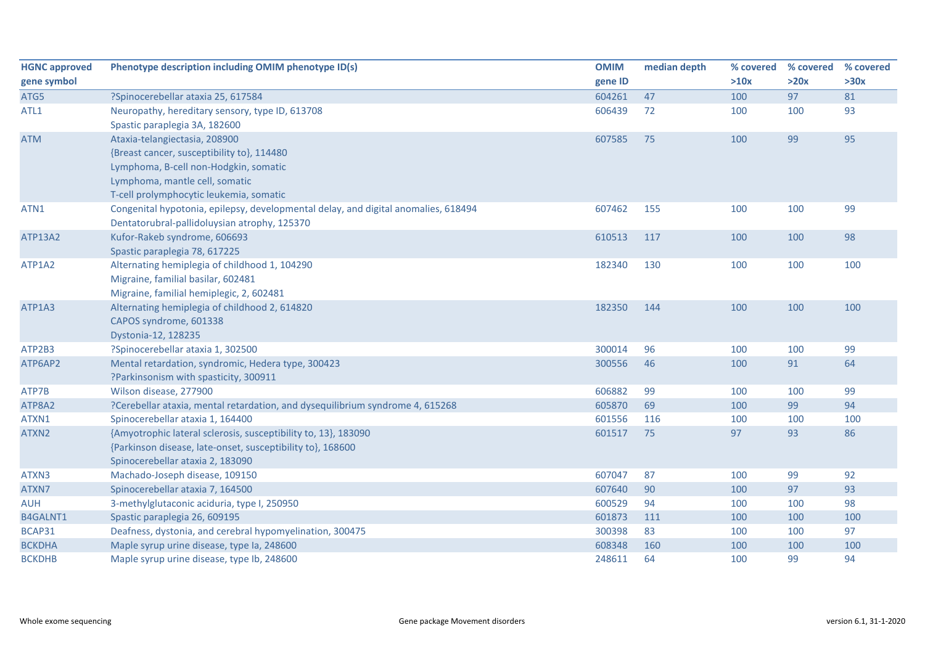| <b>HGNC approved</b> | Phenotype description including OMIM phenotype ID(s)                                                                         | <b>OMIM</b> | median depth | % covered | % covered | % covered |
|----------------------|------------------------------------------------------------------------------------------------------------------------------|-------------|--------------|-----------|-----------|-----------|
| gene symbol          |                                                                                                                              | gene ID     |              | >10x      | >20x      | >30x      |
| ATG5                 | ?Spinocerebellar ataxia 25, 617584                                                                                           | 604261      | 47           | 100       | 97        | 81        |
| ATL1                 | Neuropathy, hereditary sensory, type ID, 613708<br>Spastic paraplegia 3A, 182600                                             | 606439      | 72           | 100       | 100       | 93        |
| <b>ATM</b>           | Ataxia-telangiectasia, 208900                                                                                                | 607585      | 75           | 100       | 99        | 95        |
|                      | {Breast cancer, susceptibility to}, 114480                                                                                   |             |              |           |           |           |
|                      | Lymphoma, B-cell non-Hodgkin, somatic                                                                                        |             |              |           |           |           |
|                      | Lymphoma, mantle cell, somatic                                                                                               |             |              |           |           |           |
|                      | T-cell prolymphocytic leukemia, somatic                                                                                      |             |              |           |           |           |
| ATN1                 | Congenital hypotonia, epilepsy, developmental delay, and digital anomalies, 618494                                           | 607462      | 155          | 100       | 100       | 99        |
|                      | Dentatorubral-pallidoluysian atrophy, 125370                                                                                 |             |              |           |           |           |
| ATP13A2              | Kufor-Rakeb syndrome, 606693                                                                                                 | 610513      | 117          | 100       | 100       | 98        |
|                      | Spastic paraplegia 78, 617225                                                                                                |             |              |           |           |           |
| ATP1A2               | Alternating hemiplegia of childhood 1, 104290                                                                                | 182340      | 130          | 100       | 100       | 100       |
|                      | Migraine, familial basilar, 602481                                                                                           |             |              |           |           |           |
|                      | Migraine, familial hemiplegic, 2, 602481                                                                                     |             |              |           |           |           |
| ATP1A3               | Alternating hemiplegia of childhood 2, 614820                                                                                | 182350      | 144          | 100       | 100       | 100       |
|                      | CAPOS syndrome, 601338                                                                                                       |             |              |           |           |           |
|                      | Dystonia-12, 128235                                                                                                          |             |              |           |           |           |
| ATP2B3               | ?Spinocerebellar ataxia 1, 302500                                                                                            | 300014      | 96           | 100       | 100       | 99        |
| ATP6AP2              | Mental retardation, syndromic, Hedera type, 300423                                                                           | 300556      | 46           | 100       | 91        | 64        |
|                      | ?Parkinsonism with spasticity, 300911                                                                                        |             |              |           |           |           |
| ATP7B                | Wilson disease, 277900                                                                                                       | 606882      | 99           | 100       | 100       | 99        |
| ATP8A2               | ?Cerebellar ataxia, mental retardation, and dysequilibrium syndrome 4, 615268                                                | 605870      | 69           | 100       | 99        | 94        |
| ATXN1<br>ATXN2       | Spinocerebellar ataxia 1, 164400                                                                                             | 601556      | 116          | 100<br>97 | 100<br>93 | 100       |
|                      | {Amyotrophic lateral sclerosis, susceptibility to, 13}, 183090<br>{Parkinson disease, late-onset, susceptibility to}, 168600 | 601517      | 75           |           |           | 86        |
|                      | Spinocerebellar ataxia 2, 183090                                                                                             |             |              |           |           |           |
| ATXN3                | Machado-Joseph disease, 109150                                                                                               | 607047      | 87           | 100       | 99        | 92        |
| ATXN7                | Spinocerebellar ataxia 7, 164500                                                                                             | 607640      | 90           | 100       | 97        | 93        |
| <b>AUH</b>           | 3-methylglutaconic aciduria, type I, 250950                                                                                  | 600529      | 94           | 100       | 100       | 98        |
| B4GALNT1             | Spastic paraplegia 26, 609195                                                                                                | 601873      | 111          | 100       | 100       | 100       |
| BCAP31               | Deafness, dystonia, and cerebral hypomyelination, 300475                                                                     | 300398      | 83           | 100       | 100       | 97        |
| <b>BCKDHA</b>        | Maple syrup urine disease, type Ia, 248600                                                                                   | 608348      | 160          | 100       | 100       | 100       |
| <b>BCKDHB</b>        | Maple syrup urine disease, type Ib, 248600                                                                                   | 248611      | 64           | 100       | 99        | 94        |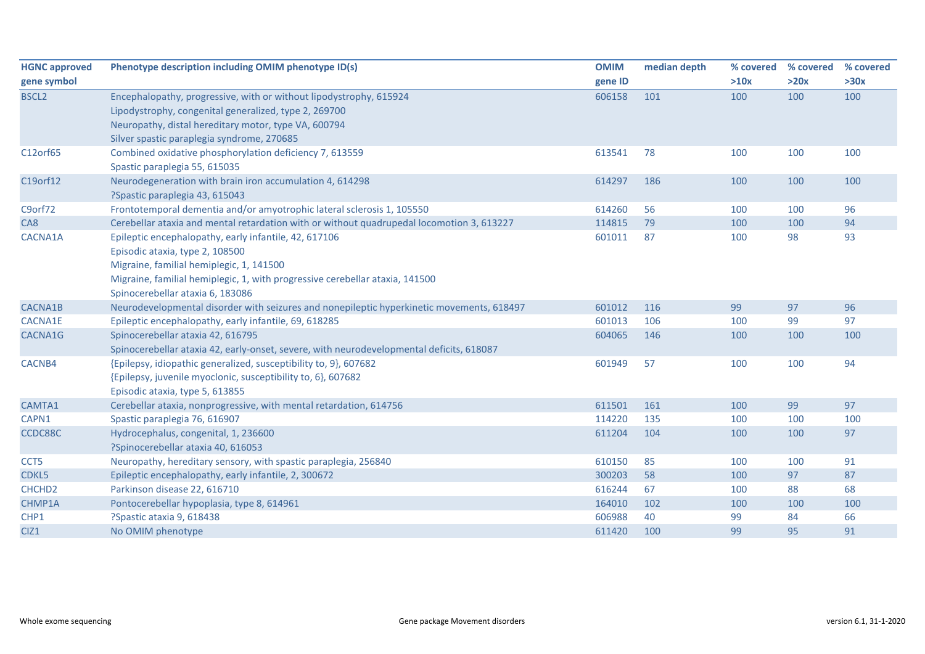| <b>HGNC approved</b>      | Phenotype description including OMIM phenotype ID(s)                                                                                                                                                                                                     | <b>OMIM</b>      | median depth | % covered  | % covered | % covered |
|---------------------------|----------------------------------------------------------------------------------------------------------------------------------------------------------------------------------------------------------------------------------------------------------|------------------|--------------|------------|-----------|-----------|
| gene symbol               |                                                                                                                                                                                                                                                          | gene ID          |              | >10x       | >20x      | >30x      |
| BSCL <sub>2</sub>         | Encephalopathy, progressive, with or without lipodystrophy, 615924<br>Lipodystrophy, congenital generalized, type 2, 269700<br>Neuropathy, distal hereditary motor, type VA, 600794<br>Silver spastic paraplegia syndrome, 270685                        | 606158           | 101          | 100        | 100       | 100       |
| C12orf65                  | Combined oxidative phosphorylation deficiency 7, 613559<br>Spastic paraplegia 55, 615035                                                                                                                                                                 | 613541           | 78           | 100        | 100       | 100       |
| C19orf12                  | Neurodegeneration with brain iron accumulation 4, 614298<br>?Spastic paraplegia 43, 615043                                                                                                                                                               | 614297           | 186          | 100        | 100       | 100       |
| C9orf72                   | Frontotemporal dementia and/or amyotrophic lateral sclerosis 1, 105550                                                                                                                                                                                   | 614260           | 56           | 100        | 100       | 96        |
| CA8                       | Cerebellar ataxia and mental retardation with or without quadrupedal locomotion 3, 613227                                                                                                                                                                | 114815           | 79           | 100        | 100       | 94        |
| CACNA1A                   | Epileptic encephalopathy, early infantile, 42, 617106<br>Episodic ataxia, type 2, 108500<br>Migraine, familial hemiplegic, 1, 141500<br>Migraine, familial hemiplegic, 1, with progressive cerebellar ataxia, 141500<br>Spinocerebellar ataxia 6, 183086 | 601011           | 87           | 100        | 98        | 93        |
| CACNA1B                   | Neurodevelopmental disorder with seizures and nonepileptic hyperkinetic movements, 618497                                                                                                                                                                | 601012           | 116          | 99         | 97        | 96        |
| <b>CACNA1E</b><br>CACNA1G | Epileptic encephalopathy, early infantile, 69, 618285<br>Spinocerebellar ataxia 42, 616795<br>Spinocerebellar ataxia 42, early-onset, severe, with neurodevelopmental deficits, 618087                                                                   | 601013<br>604065 | 106<br>146   | 100<br>100 | 99<br>100 | 97<br>100 |
| CACNB4                    | {Epilepsy, idiopathic generalized, susceptibility to, 9}, 607682<br>{Epilepsy, juvenile myoclonic, susceptibility to, 6}, 607682<br>Episodic ataxia, type 5, 613855                                                                                      | 601949           | 57           | 100        | 100       | 94        |
| CAMTA1                    | Cerebellar ataxia, nonprogressive, with mental retardation, 614756                                                                                                                                                                                       | 611501           | 161          | 100        | 99        | 97        |
| CAPN1                     | Spastic paraplegia 76, 616907                                                                                                                                                                                                                            | 114220           | 135          | 100        | 100       | 100       |
| CCDC88C                   | Hydrocephalus, congenital, 1, 236600<br>?Spinocerebellar ataxia 40, 616053                                                                                                                                                                               | 611204           | 104          | 100        | 100       | 97        |
| CCT5                      | Neuropathy, hereditary sensory, with spastic paraplegia, 256840                                                                                                                                                                                          | 610150           | 85           | 100        | 100       | 91        |
| CDKL5                     | Epileptic encephalopathy, early infantile, 2, 300672                                                                                                                                                                                                     | 300203           | 58           | 100        | 97        | 87        |
| CHCHD <sub>2</sub>        | Parkinson disease 22, 616710                                                                                                                                                                                                                             | 616244           | 67           | 100        | 88        | 68        |
| CHMP1A                    | Pontocerebellar hypoplasia, type 8, 614961                                                                                                                                                                                                               | 164010           | 102          | 100        | 100       | 100       |
| CHP1                      | ?Spastic ataxia 9, 618438                                                                                                                                                                                                                                | 606988           | 40           | 99         | 84        | 66        |
| CIZ1                      | No OMIM phenotype                                                                                                                                                                                                                                        | 611420           | 100          | 99         | 95        | 91        |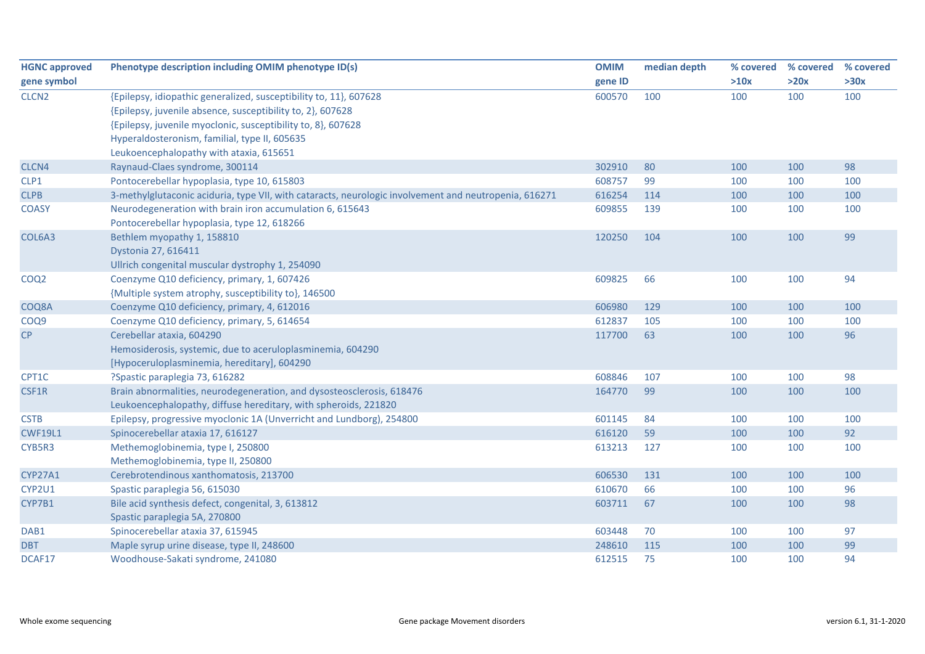| <b>HGNC approved</b> | Phenotype description including OMIM phenotype ID(s)                                                  | <b>OMIM</b> | median depth | % covered | % covered | % covered |
|----------------------|-------------------------------------------------------------------------------------------------------|-------------|--------------|-----------|-----------|-----------|
| gene symbol          |                                                                                                       | gene ID     |              | >10x      | >20x      | >30x      |
| CLCN <sub>2</sub>    | {Epilepsy, idiopathic generalized, susceptibility to, 11}, 607628                                     | 600570      | 100          | 100       | 100       | 100       |
|                      | {Epilepsy, juvenile absence, susceptibility to, 2}, 607628                                            |             |              |           |           |           |
|                      | {Epilepsy, juvenile myoclonic, susceptibility to, 8}, 607628                                          |             |              |           |           |           |
|                      | Hyperaldosteronism, familial, type II, 605635                                                         |             |              |           |           |           |
|                      | Leukoencephalopathy with ataxia, 615651                                                               |             |              |           |           |           |
| CLCN4                | Raynaud-Claes syndrome, 300114                                                                        | 302910      | 80           | 100       | 100       | 98        |
| CLP1                 | Pontocerebellar hypoplasia, type 10, 615803                                                           | 608757      | 99           | 100       | 100       | 100       |
| <b>CLPB</b>          | 3-methylglutaconic aciduria, type VII, with cataracts, neurologic involvement and neutropenia, 616271 | 616254      | 114          | 100       | 100       | 100       |
| <b>COASY</b>         | Neurodegeneration with brain iron accumulation 6, 615643                                              | 609855      | 139          | 100       | 100       | 100       |
|                      | Pontocerebellar hypoplasia, type 12, 618266                                                           |             |              |           |           |           |
| COL6A3               | Bethlem myopathy 1, 158810                                                                            | 120250      | 104          | 100       | 100       | 99        |
|                      | Dystonia 27, 616411                                                                                   |             |              |           |           |           |
|                      | Ullrich congenital muscular dystrophy 1, 254090                                                       |             |              |           |           |           |
| COQ <sub>2</sub>     | Coenzyme Q10 deficiency, primary, 1, 607426                                                           | 609825      | 66           | 100       | 100       | 94        |
|                      | {Multiple system atrophy, susceptibility to}, 146500                                                  |             |              |           |           |           |
| COQ8A                | Coenzyme Q10 deficiency, primary, 4, 612016                                                           | 606980      | 129          | 100       | 100       | 100       |
| COQ9                 | Coenzyme Q10 deficiency, primary, 5, 614654                                                           | 612837      | 105          | 100       | 100       | 100       |
| CP                   | Cerebellar ataxia, 604290                                                                             | 117700      | 63           | 100       | 100       | 96        |
|                      | Hemosiderosis, systemic, due to aceruloplasminemia, 604290                                            |             |              |           |           |           |
|                      | [Hypoceruloplasminemia, hereditary], 604290                                                           |             |              |           |           |           |
| CPT1C                | ?Spastic paraplegia 73, 616282                                                                        | 608846      | 107          | 100       | 100       | 98        |
| CSF1R                | Brain abnormalities, neurodegeneration, and dysosteosclerosis, 618476                                 | 164770      | 99           | 100       | 100       | 100       |
|                      | Leukoencephalopathy, diffuse hereditary, with spheroids, 221820                                       |             |              |           |           |           |
| <b>CSTB</b>          | Epilepsy, progressive myoclonic 1A (Unverricht and Lundborg), 254800                                  | 601145      | 84           | 100       | 100       | 100       |
| <b>CWF19L1</b>       | Spinocerebellar ataxia 17, 616127                                                                     | 616120      | 59           | 100       | 100       | 92        |
| CYB5R3               | Methemoglobinemia, type I, 250800                                                                     | 613213      | 127          | 100       | 100       | 100       |
|                      | Methemoglobinemia, type II, 250800                                                                    |             |              |           |           |           |
| <b>CYP27A1</b>       | Cerebrotendinous xanthomatosis, 213700                                                                | 606530      | 131          | 100       | 100       | 100       |
| CYP2U1               | Spastic paraplegia 56, 615030                                                                         | 610670      | 66           | 100       | 100       | 96        |
| CYP7B1               | Bile acid synthesis defect, congenital, 3, 613812                                                     | 603711      | 67           | 100       | 100       | 98        |
|                      | Spastic paraplegia 5A, 270800                                                                         |             |              |           |           |           |
| DAB1                 | Spinocerebellar ataxia 37, 615945                                                                     | 603448      | 70           | 100       | 100       | 97        |
| <b>DBT</b>           | Maple syrup urine disease, type II, 248600                                                            | 248610      | 115          | 100       | 100       | 99        |
| DCAF17               | Woodhouse-Sakati syndrome, 241080                                                                     | 612515      | 75           | 100       | 100       | 94        |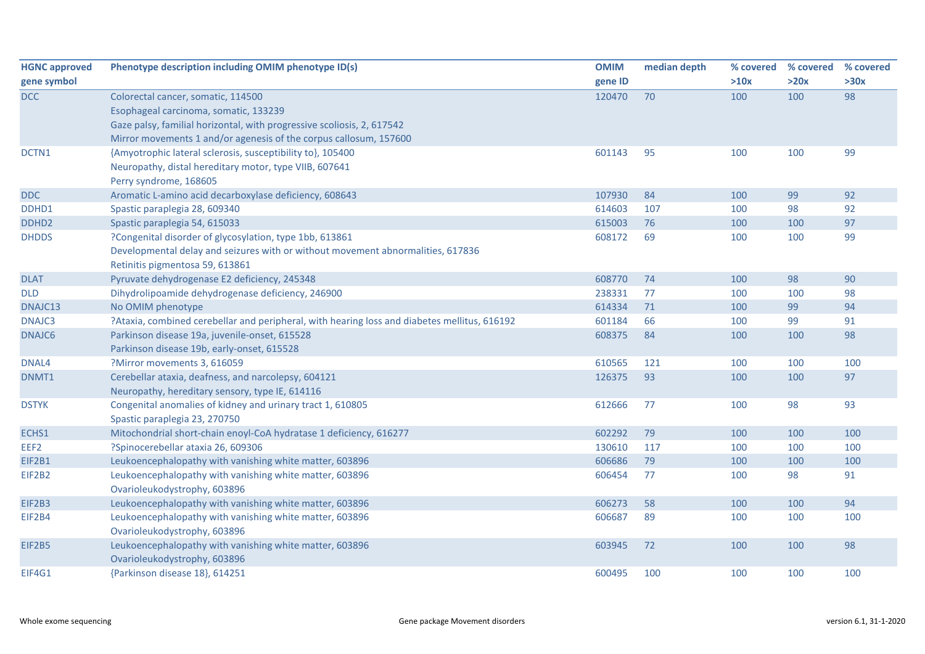| <b>HGNC approved</b> | Phenotype description including OMIM phenotype ID(s)                                         | <b>OMIM</b> | median depth | % covered | % covered | % covered |
|----------------------|----------------------------------------------------------------------------------------------|-------------|--------------|-----------|-----------|-----------|
| gene symbol          |                                                                                              | gene ID     |              | >10x      | >20x      | >30x      |
| <b>DCC</b>           | Colorectal cancer, somatic, 114500                                                           | 120470      | 70           | 100       | 100       | 98        |
|                      | Esophageal carcinoma, somatic, 133239                                                        |             |              |           |           |           |
|                      | Gaze palsy, familial horizontal, with progressive scoliosis, 2, 617542                       |             |              |           |           |           |
|                      | Mirror movements 1 and/or agenesis of the corpus callosum, 157600                            |             |              |           |           |           |
| DCTN1                | {Amyotrophic lateral sclerosis, susceptibility to}, 105400                                   | 601143      | 95           | 100       | 100       | 99        |
|                      | Neuropathy, distal hereditary motor, type VIIB, 607641                                       |             |              |           |           |           |
|                      | Perry syndrome, 168605                                                                       |             |              |           |           |           |
| <b>DDC</b>           | Aromatic L-amino acid decarboxylase deficiency, 608643                                       | 107930      | 84           | 100       | 99        | 92        |
| DDHD1                | Spastic paraplegia 28, 609340                                                                | 614603      | 107          | 100       | 98        | 92        |
| DDHD <sub>2</sub>    | Spastic paraplegia 54, 615033                                                                | 615003      | 76           | 100       | 100       | 97        |
| <b>DHDDS</b>         | ?Congenital disorder of glycosylation, type 1bb, 613861                                      | 608172      | 69           | 100       | 100       | 99        |
|                      | Developmental delay and seizures with or without movement abnormalities, 617836              |             |              |           |           |           |
|                      | Retinitis pigmentosa 59, 613861                                                              |             |              |           |           |           |
| <b>DLAT</b>          | Pyruvate dehydrogenase E2 deficiency, 245348                                                 | 608770      | 74           | 100       | 98        | 90        |
| <b>DLD</b>           | Dihydrolipoamide dehydrogenase deficiency, 246900                                            | 238331      | 77           | 100       | 100       | 98        |
| DNAJC13              | No OMIM phenotype                                                                            | 614334      | 71           | 100       | 99        | 94        |
| DNAJC3               | ?Ataxia, combined cerebellar and peripheral, with hearing loss and diabetes mellitus, 616192 | 601184      | 66           | 100       | 99        | 91        |
| DNAJC6               | Parkinson disease 19a, juvenile-onset, 615528                                                | 608375      | 84           | 100       | 100       | 98        |
|                      | Parkinson disease 19b, early-onset, 615528                                                   |             |              |           |           |           |
| DNAL4                | ?Mirror movements 3, 616059                                                                  | 610565      | 121          | 100       | 100       | 100       |
| DNMT1                | Cerebellar ataxia, deafness, and narcolepsy, 604121                                          | 126375      | 93           | 100       | 100       | 97        |
|                      | Neuropathy, hereditary sensory, type IE, 614116                                              |             |              |           |           |           |
| <b>DSTYK</b>         | Congenital anomalies of kidney and urinary tract 1, 610805                                   | 612666      | 77           | 100       | 98        | 93        |
|                      | Spastic paraplegia 23, 270750                                                                |             |              |           |           |           |
| ECHS1                | Mitochondrial short-chain enoyl-CoA hydratase 1 deficiency, 616277                           | 602292      | 79           | 100       | 100       | 100       |
| EEF2                 | ?Spinocerebellar ataxia 26, 609306                                                           | 130610      | 117          | 100       | 100       | 100       |
| EIF2B1               | Leukoencephalopathy with vanishing white matter, 603896                                      | 606686      | 79           | 100       | 100       | 100       |
| EIF2B2               | Leukoencephalopathy with vanishing white matter, 603896                                      | 606454      | 77           | 100       | 98        | 91        |
|                      | Ovarioleukodystrophy, 603896                                                                 |             |              |           |           |           |
| EIF2B3               | Leukoencephalopathy with vanishing white matter, 603896                                      | 606273      | 58           | 100       | 100       | 94        |
| EIF2B4               | Leukoencephalopathy with vanishing white matter, 603896                                      | 606687      | 89           | 100       | 100       | 100       |
|                      | Ovarioleukodystrophy, 603896                                                                 |             |              |           |           |           |
| EIF2B5               | Leukoencephalopathy with vanishing white matter, 603896                                      | 603945      | 72           | 100       | 100       | 98        |
|                      | Ovarioleukodystrophy, 603896                                                                 |             |              |           |           |           |
| EIF4G1               | {Parkinson disease 18}, 614251                                                               | 600495      | 100          | 100       | 100       | 100       |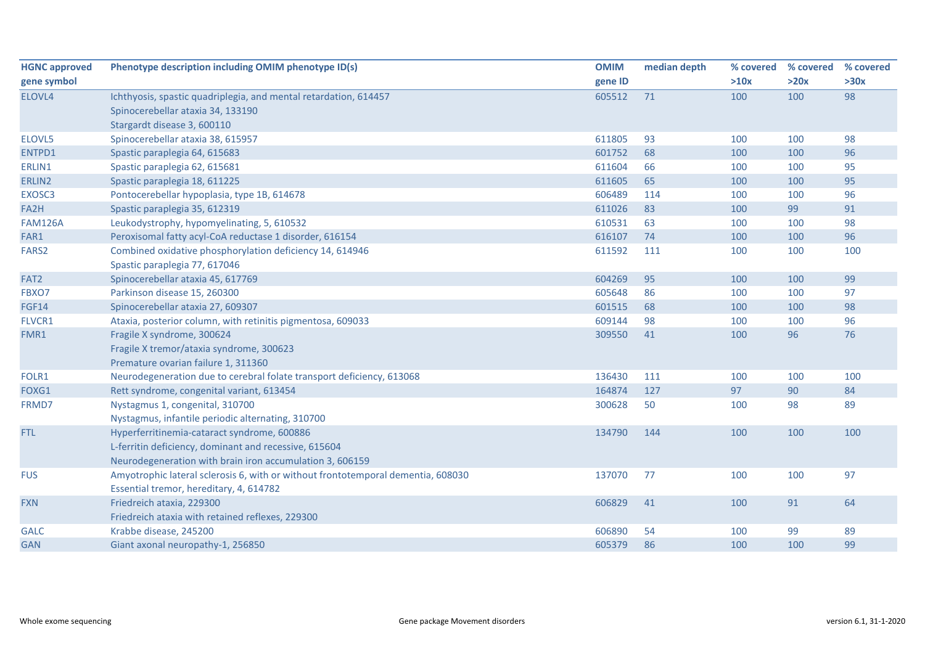| <b>HGNC approved</b> | Phenotype description including OMIM phenotype ID(s)                             | <b>OMIM</b> | median depth | % covered | % covered | % covered |
|----------------------|----------------------------------------------------------------------------------|-------------|--------------|-----------|-----------|-----------|
| gene symbol          |                                                                                  | gene ID     |              | >10x      | >20x      | >30x      |
| ELOVL4               | Ichthyosis, spastic quadriplegia, and mental retardation, 614457                 | 605512      | 71           | 100       | 100       | 98        |
|                      | Spinocerebellar ataxia 34, 133190                                                |             |              |           |           |           |
|                      | Stargardt disease 3, 600110                                                      |             |              |           |           |           |
| ELOVL5               | Spinocerebellar ataxia 38, 615957                                                | 611805      | 93           | 100       | 100       | 98        |
| ENTPD1               | Spastic paraplegia 64, 615683                                                    | 601752      | 68           | 100       | 100       | 96        |
| ERLIN1               | Spastic paraplegia 62, 615681                                                    | 611604      | 66           | 100       | 100       | 95        |
| ERLIN2               | Spastic paraplegia 18, 611225                                                    | 611605      | 65           | 100       | 100       | 95        |
| EXOSC3               | Pontocerebellar hypoplasia, type 1B, 614678                                      | 606489      | 114          | 100       | 100       | 96        |
| FA2H                 | Spastic paraplegia 35, 612319                                                    | 611026      | 83           | 100       | 99        | 91        |
| <b>FAM126A</b>       | Leukodystrophy, hypomyelinating, 5, 610532                                       | 610531      | 63           | 100       | 100       | 98        |
| FAR1                 | Peroxisomal fatty acyl-CoA reductase 1 disorder, 616154                          | 616107      | 74           | 100       | 100       | 96        |
| FARS2                | Combined oxidative phosphorylation deficiency 14, 614946                         | 611592      | 111          | 100       | 100       | 100       |
|                      | Spastic paraplegia 77, 617046                                                    |             |              |           |           |           |
| FAT2                 | Spinocerebellar ataxia 45, 617769                                                | 604269      | 95           | 100       | 100       | 99        |
| FBXO7                | Parkinson disease 15, 260300                                                     | 605648      | 86           | 100       | 100       | 97        |
| <b>FGF14</b>         | Spinocerebellar ataxia 27, 609307                                                | 601515      | 68           | 100       | 100       | 98        |
| FLVCR1               | Ataxia, posterior column, with retinitis pigmentosa, 609033                      | 609144      | 98           | 100       | 100       | 96        |
| FMR1                 | Fragile X syndrome, 300624                                                       | 309550      | 41           | 100       | 96        | 76        |
|                      | Fragile X tremor/ataxia syndrome, 300623                                         |             |              |           |           |           |
|                      | Premature ovarian failure 1, 311360                                              |             |              |           |           |           |
| FOLR1                | Neurodegeneration due to cerebral folate transport deficiency, 613068            | 136430      | 111          | 100       | 100       | 100       |
| FOXG1                | Rett syndrome, congenital variant, 613454                                        | 164874      | 127          | 97        | 90        | 84        |
| FRMD7                | Nystagmus 1, congenital, 310700                                                  | 300628      | 50           | 100       | 98        | 89        |
|                      | Nystagmus, infantile periodic alternating, 310700                                |             |              |           |           |           |
| FTL                  | Hyperferritinemia-cataract syndrome, 600886                                      | 134790      | 144          | 100       | 100       | 100       |
|                      | L-ferritin deficiency, dominant and recessive, 615604                            |             |              |           |           |           |
|                      | Neurodegeneration with brain iron accumulation 3, 606159                         |             |              |           |           |           |
| <b>FUS</b>           | Amyotrophic lateral sclerosis 6, with or without frontotemporal dementia, 608030 | 137070      | 77           | 100       | 100       | 97        |
|                      | Essential tremor, hereditary, 4, 614782                                          |             |              |           |           |           |
| <b>FXN</b>           | Friedreich ataxia, 229300                                                        | 606829      | 41           | 100       | 91        | 64        |
|                      | Friedreich ataxia with retained reflexes, 229300                                 |             |              |           |           |           |
| <b>GALC</b>          | Krabbe disease, 245200                                                           | 606890      | 54           | 100       | 99        | 89        |
| <b>GAN</b>           | Giant axonal neuropathy-1, 256850                                                | 605379      | 86           | 100       | 100       | 99        |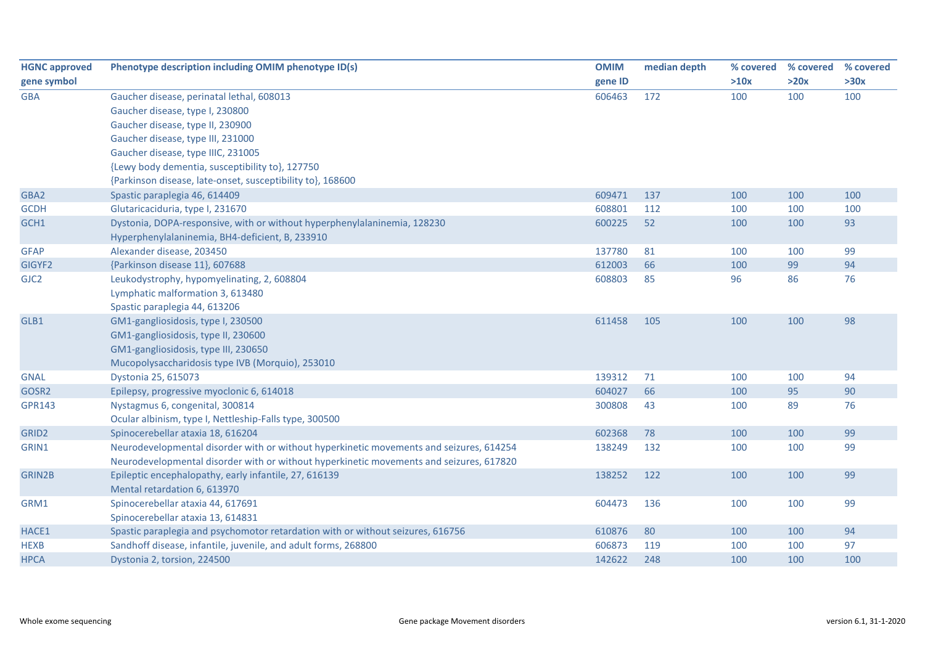| <b>HGNC approved</b> | Phenotype description including OMIM phenotype ID(s)                                    | <b>OMIM</b> | median depth | % covered | % covered | % covered |
|----------------------|-----------------------------------------------------------------------------------------|-------------|--------------|-----------|-----------|-----------|
| gene symbol          |                                                                                         | gene ID     |              | >10x      | >20x      | >30x      |
| <b>GBA</b>           | Gaucher disease, perinatal lethal, 608013                                               | 606463      | 172          | 100       | 100       | 100       |
|                      | Gaucher disease, type I, 230800                                                         |             |              |           |           |           |
|                      | Gaucher disease, type II, 230900                                                        |             |              |           |           |           |
|                      | Gaucher disease, type III, 231000                                                       |             |              |           |           |           |
|                      | Gaucher disease, type IIIC, 231005                                                      |             |              |           |           |           |
|                      | {Lewy body dementia, susceptibility to}, 127750                                         |             |              |           |           |           |
|                      | {Parkinson disease, late-onset, susceptibility to}, 168600                              |             |              |           |           |           |
| GBA2                 | Spastic paraplegia 46, 614409                                                           | 609471      | 137          | 100       | 100       | 100       |
| <b>GCDH</b>          | Glutaricaciduria, type I, 231670                                                        | 608801      | 112          | 100       | 100       | 100       |
| GCH1                 | Dystonia, DOPA-responsive, with or without hyperphenylalaninemia, 128230                | 600225      | 52           | 100       | 100       | 93        |
|                      | Hyperphenylalaninemia, BH4-deficient, B, 233910                                         |             |              |           |           |           |
| <b>GFAP</b>          | Alexander disease, 203450                                                               | 137780      | 81           | 100       | 100       | 99        |
| GIGYF2               | {Parkinson disease 11}, 607688                                                          | 612003      | 66           | 100       | 99        | 94        |
| GJC <sub>2</sub>     | Leukodystrophy, hypomyelinating, 2, 608804                                              | 608803      | 85           | 96        | 86        | 76        |
|                      | Lymphatic malformation 3, 613480                                                        |             |              |           |           |           |
|                      | Spastic paraplegia 44, 613206                                                           |             |              |           |           |           |
| GLB1                 | GM1-gangliosidosis, type I, 230500                                                      | 611458      | 105          | 100       | 100       | 98        |
|                      | GM1-gangliosidosis, type II, 230600                                                     |             |              |           |           |           |
|                      | GM1-gangliosidosis, type III, 230650                                                    |             |              |           |           |           |
|                      | Mucopolysaccharidosis type IVB (Morquio), 253010                                        |             |              |           |           |           |
| <b>GNAL</b>          | Dystonia 25, 615073                                                                     | 139312      | 71           | 100       | 100       | 94        |
| GOSR2                | Epilepsy, progressive myoclonic 6, 614018                                               | 604027      | 66           | 100       | 95        | 90        |
| <b>GPR143</b>        | Nystagmus 6, congenital, 300814                                                         | 300808      | 43           | 100       | 89        | 76        |
|                      | Ocular albinism, type I, Nettleship-Falls type, 300500                                  |             |              |           |           |           |
| GRID <sub>2</sub>    | Spinocerebellar ataxia 18, 616204                                                       | 602368      | 78           | 100       | 100       | 99        |
| GRIN1                | Neurodevelopmental disorder with or without hyperkinetic movements and seizures, 614254 | 138249      | 132          | 100       | 100       | 99        |
|                      | Neurodevelopmental disorder with or without hyperkinetic movements and seizures, 617820 |             |              |           |           |           |
| GRIN2B               | Epileptic encephalopathy, early infantile, 27, 616139                                   | 138252      | 122          | 100       | 100       | 99        |
|                      | Mental retardation 6, 613970                                                            |             |              |           |           |           |
| GRM1                 | Spinocerebellar ataxia 44, 617691                                                       | 604473      | 136          | 100       | 100       | 99        |
|                      | Spinocerebellar ataxia 13, 614831                                                       |             |              |           |           |           |
| HACE1                | Spastic paraplegia and psychomotor retardation with or without seizures, 616756         | 610876      | 80           | 100       | 100       | 94        |
| <b>HEXB</b>          | Sandhoff disease, infantile, juvenile, and adult forms, 268800                          | 606873      | 119          | 100       | 100       | 97        |
| <b>HPCA</b>          | Dystonia 2, torsion, 224500                                                             | 142622      | 248          | 100       | 100       | 100       |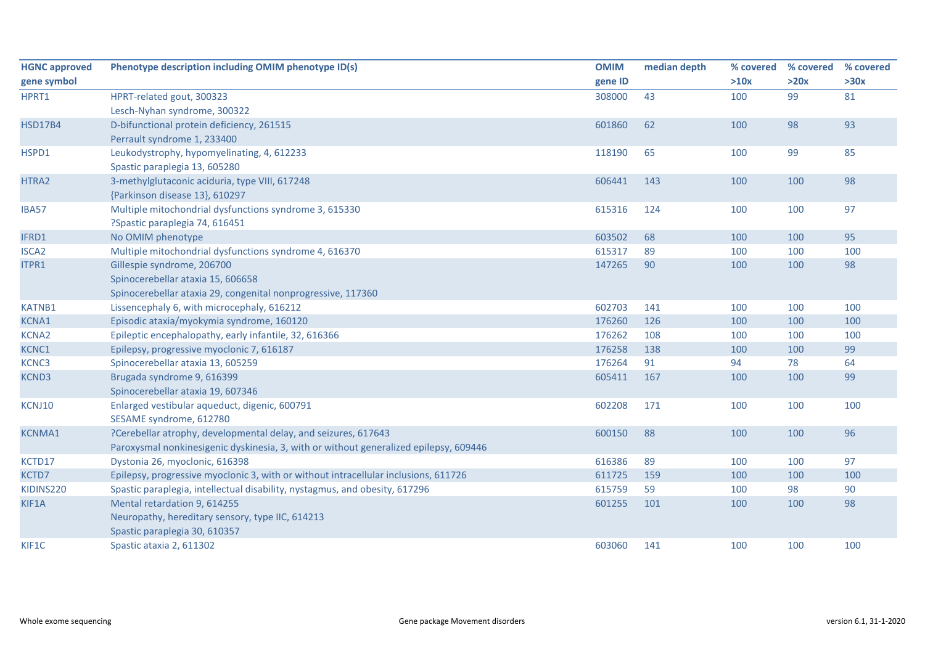| <b>HGNC approved</b> | Phenotype description including OMIM phenotype ID(s)                                  | <b>OMIM</b> | median depth | % covered | % covered | % covered |
|----------------------|---------------------------------------------------------------------------------------|-------------|--------------|-----------|-----------|-----------|
| gene symbol          |                                                                                       | gene ID     |              | >10x      | >20x      | >30x      |
| HPRT1                | HPRT-related gout, 300323                                                             | 308000      | 43           | 100       | 99        | 81        |
|                      | Lesch-Nyhan syndrome, 300322                                                          |             |              |           |           |           |
| <b>HSD17B4</b>       | D-bifunctional protein deficiency, 261515                                             | 601860      | 62           | 100       | 98        | 93        |
|                      | Perrault syndrome 1, 233400                                                           |             |              |           |           |           |
| HSPD1                | Leukodystrophy, hypomyelinating, 4, 612233                                            | 118190      | 65           | 100       | 99        | 85        |
|                      | Spastic paraplegia 13, 605280                                                         |             |              |           |           |           |
| HTRA2                | 3-methylglutaconic aciduria, type VIII, 617248                                        | 606441      | 143          | 100       | 100       | 98        |
|                      | {Parkinson disease 13}, 610297                                                        |             |              |           |           |           |
| <b>IBA57</b>         | Multiple mitochondrial dysfunctions syndrome 3, 615330                                | 615316      | 124          | 100       | 100       | 97        |
|                      | ?Spastic paraplegia 74, 616451                                                        |             |              |           |           |           |
| IFRD1                | No OMIM phenotype                                                                     | 603502      | 68           | 100       | 100       | 95        |
| <b>ISCA2</b>         | Multiple mitochondrial dysfunctions syndrome 4, 616370                                | 615317      | 89           | 100       | 100       | 100       |
| ITPR1                | Gillespie syndrome, 206700                                                            | 147265      | 90           | 100       | 100       | 98        |
|                      | Spinocerebellar ataxia 15, 606658                                                     |             |              |           |           |           |
|                      | Spinocerebellar ataxia 29, congenital nonprogressive, 117360                          |             |              |           |           |           |
| <b>KATNB1</b>        | Lissencephaly 6, with microcephaly, 616212                                            | 602703      | 141          | 100       | 100       | 100       |
| KCNA1                | Episodic ataxia/myokymia syndrome, 160120                                             | 176260      | 126          | 100       | 100       | 100       |
| <b>KCNA2</b>         | Epileptic encephalopathy, early infantile, 32, 616366                                 | 176262      | 108          | 100       | 100       | 100       |
| KCNC1                | Epilepsy, progressive myoclonic 7, 616187                                             | 176258      | 138          | 100       | 100       | 99        |
| KCNC3                | Spinocerebellar ataxia 13, 605259                                                     | 176264      | 91           | 94        | 78        | 64        |
| KCND3                | Brugada syndrome 9, 616399                                                            | 605411      | 167          | 100       | 100       | 99        |
|                      | Spinocerebellar ataxia 19, 607346                                                     |             |              |           |           |           |
| KCNJ10               | Enlarged vestibular aqueduct, digenic, 600791                                         | 602208      | 171          | 100       | 100       | 100       |
|                      | SESAME syndrome, 612780                                                               |             |              |           |           |           |
| <b>KCNMA1</b>        | ?Cerebellar atrophy, developmental delay, and seizures, 617643                        | 600150      | 88           | 100       | 100       | 96        |
|                      | Paroxysmal nonkinesigenic dyskinesia, 3, with or without generalized epilepsy, 609446 |             |              |           |           |           |
| KCTD17               | Dystonia 26, myoclonic, 616398                                                        | 616386      | 89           | 100       | 100       | 97        |
| KCTD7                | Epilepsy, progressive myoclonic 3, with or without intracellular inclusions, 611726   | 611725      | 159          | 100       | 100       | 100       |
| KIDINS220            | Spastic paraplegia, intellectual disability, nystagmus, and obesity, 617296           | 615759      | 59           | 100       | 98        | 90        |
| KIF1A                | Mental retardation 9, 614255                                                          | 601255      | 101          | 100       | 100       | 98        |
|                      | Neuropathy, hereditary sensory, type IIC, 614213                                      |             |              |           |           |           |
|                      | Spastic paraplegia 30, 610357                                                         |             |              |           |           |           |
| KIF1C                | Spastic ataxia 2, 611302                                                              | 603060      | 141          | 100       | 100       | 100       |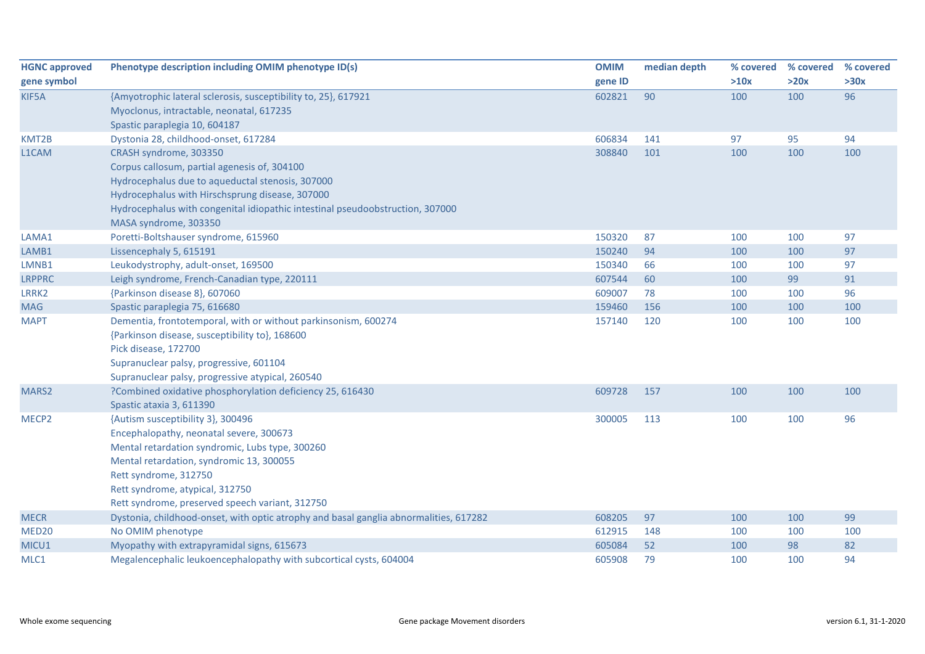| <b>HGNC approved</b> | Phenotype description including OMIM phenotype ID(s)                                  | <b>OMIM</b> | median depth | % covered | % covered | % covered |
|----------------------|---------------------------------------------------------------------------------------|-------------|--------------|-----------|-----------|-----------|
| gene symbol          |                                                                                       | gene ID     |              | >10x      | >20x      | >30x      |
| KIF5A                | {Amyotrophic lateral sclerosis, susceptibility to, 25}, 617921                        | 602821      | 90           | 100       | 100       | 96        |
|                      | Myoclonus, intractable, neonatal, 617235                                              |             |              |           |           |           |
|                      | Spastic paraplegia 10, 604187                                                         |             |              |           |           |           |
| KMT2B                | Dystonia 28, childhood-onset, 617284                                                  | 606834      | 141          | 97        | 95        | 94        |
| L1CAM                | CRASH syndrome, 303350                                                                | 308840      | 101          | 100       | 100       | 100       |
|                      | Corpus callosum, partial agenesis of, 304100                                          |             |              |           |           |           |
|                      | Hydrocephalus due to aqueductal stenosis, 307000                                      |             |              |           |           |           |
|                      | Hydrocephalus with Hirschsprung disease, 307000                                       |             |              |           |           |           |
|                      | Hydrocephalus with congenital idiopathic intestinal pseudoobstruction, 307000         |             |              |           |           |           |
|                      | MASA syndrome, 303350                                                                 |             |              |           |           |           |
| LAMA1                | Poretti-Boltshauser syndrome, 615960                                                  | 150320      | 87           | 100       | 100       | 97        |
| LAMB1                | Lissencephaly 5, 615191                                                               | 150240      | 94           | 100       | 100       | 97        |
| LMNB1                | Leukodystrophy, adult-onset, 169500                                                   | 150340      | 66           | 100       | 100       | 97        |
| <b>LRPPRC</b>        | Leigh syndrome, French-Canadian type, 220111                                          | 607544      | 60           | 100       | 99        | 91        |
| LRRK2                | {Parkinson disease 8}, 607060                                                         | 609007      | 78           | 100       | 100       | 96        |
| <b>MAG</b>           | Spastic paraplegia 75, 616680                                                         | 159460      | 156          | 100       | 100       | 100       |
| <b>MAPT</b>          | Dementia, frontotemporal, with or without parkinsonism, 600274                        | 157140      | 120          | 100       | 100       | 100       |
|                      | {Parkinson disease, susceptibility to}, 168600                                        |             |              |           |           |           |
|                      | Pick disease, 172700                                                                  |             |              |           |           |           |
|                      | Supranuclear palsy, progressive, 601104                                               |             |              |           |           |           |
|                      | Supranuclear palsy, progressive atypical, 260540                                      |             |              |           |           |           |
| MARS2                | ?Combined oxidative phosphorylation deficiency 25, 616430                             | 609728      | 157          | 100       | 100       | 100       |
|                      | Spastic ataxia 3, 611390                                                              |             |              |           |           |           |
| MECP <sub>2</sub>    | {Autism susceptibility 3}, 300496                                                     | 300005      | 113          | 100       | 100       | 96        |
|                      | Encephalopathy, neonatal severe, 300673                                               |             |              |           |           |           |
|                      | Mental retardation syndromic, Lubs type, 300260                                       |             |              |           |           |           |
|                      | Mental retardation, syndromic 13, 300055                                              |             |              |           |           |           |
|                      | Rett syndrome, 312750                                                                 |             |              |           |           |           |
|                      | Rett syndrome, atypical, 312750                                                       |             |              |           |           |           |
|                      | Rett syndrome, preserved speech variant, 312750                                       |             |              |           |           |           |
| <b>MECR</b>          | Dystonia, childhood-onset, with optic atrophy and basal ganglia abnormalities, 617282 | 608205      | 97           | 100       | 100       | 99        |
| MED <sub>20</sub>    | No OMIM phenotype                                                                     | 612915      | 148          | 100       | 100       | 100       |
| MICU1                | Myopathy with extrapyramidal signs, 615673                                            | 605084      | 52           | 100       | 98        | 82        |
| MLC1                 | Megalencephalic leukoencephalopathy with subcortical cysts, 604004                    | 605908      | 79           | 100       | 100       | 94        |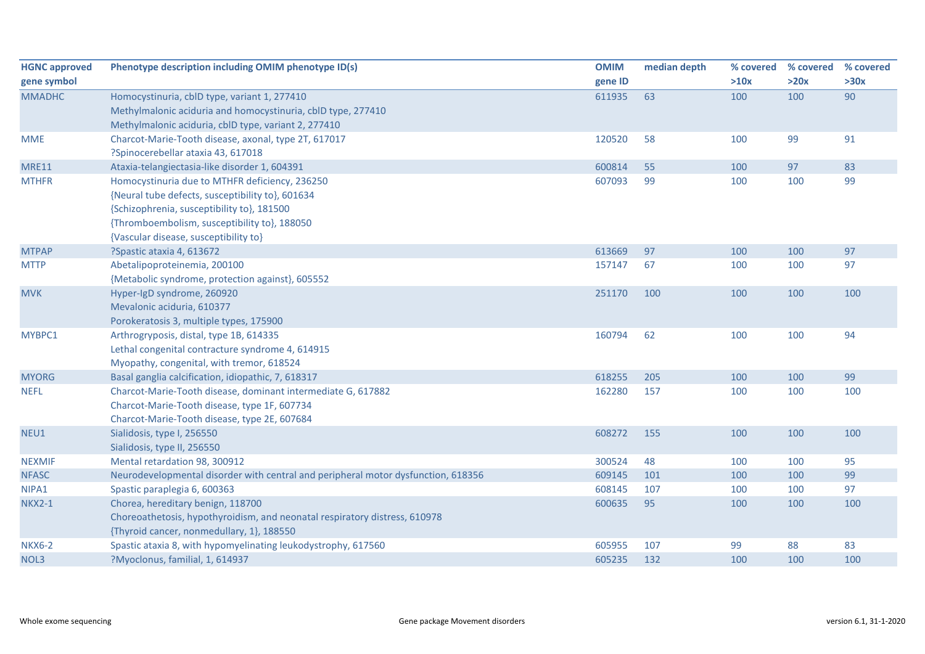| <b>HGNC approved</b> | Phenotype description including OMIM phenotype ID(s)                              | <b>OMIM</b> | median depth | % covered | % covered | % covered |
|----------------------|-----------------------------------------------------------------------------------|-------------|--------------|-----------|-----------|-----------|
| gene symbol          |                                                                                   | gene ID     |              | >10x      | >20x      | >30x      |
| <b>MMADHC</b>        | Homocystinuria, cblD type, variant 1, 277410                                      | 611935      | 63           | 100       | 100       | 90        |
|                      | Methylmalonic aciduria and homocystinuria, cblD type, 277410                      |             |              |           |           |           |
|                      | Methylmalonic aciduria, cblD type, variant 2, 277410                              |             |              |           |           |           |
| <b>MME</b>           | Charcot-Marie-Tooth disease, axonal, type 2T, 617017                              | 120520      | 58           | 100       | 99        | 91        |
|                      | ?Spinocerebellar ataxia 43, 617018                                                |             |              |           |           |           |
| <b>MRE11</b>         | Ataxia-telangiectasia-like disorder 1, 604391                                     | 600814      | 55           | 100       | 97        | 83        |
| <b>MTHFR</b>         | Homocystinuria due to MTHFR deficiency, 236250                                    | 607093      | 99           | 100       | 100       | 99        |
|                      | {Neural tube defects, susceptibility to}, 601634                                  |             |              |           |           |           |
|                      | {Schizophrenia, susceptibility to}, 181500                                        |             |              |           |           |           |
|                      | {Thromboembolism, susceptibility to}, 188050                                      |             |              |           |           |           |
|                      | {Vascular disease, susceptibility to}                                             |             |              |           |           |           |
| <b>MTPAP</b>         | ?Spastic ataxia 4, 613672                                                         | 613669      | 97           | 100       | 100       | 97        |
| <b>MTTP</b>          | Abetalipoproteinemia, 200100                                                      | 157147      | 67           | 100       | 100       | 97        |
|                      | {Metabolic syndrome, protection against}, 605552                                  |             |              |           |           |           |
| <b>MVK</b>           | Hyper-IgD syndrome, 260920                                                        | 251170      | 100          | 100       | 100       | 100       |
|                      | Mevalonic aciduria, 610377                                                        |             |              |           |           |           |
|                      | Porokeratosis 3, multiple types, 175900                                           |             |              |           |           |           |
| MYBPC1               | Arthrogryposis, distal, type 1B, 614335                                           | 160794      | 62           | 100       | 100       | 94        |
|                      | Lethal congenital contracture syndrome 4, 614915                                  |             |              |           |           |           |
|                      | Myopathy, congenital, with tremor, 618524                                         |             |              |           |           |           |
| <b>MYORG</b>         | Basal ganglia calcification, idiopathic, 7, 618317                                | 618255      | 205          | 100       | 100       | 99        |
| <b>NEFL</b>          | Charcot-Marie-Tooth disease, dominant intermediate G, 617882                      | 162280      | 157          | 100       | 100       | 100       |
|                      | Charcot-Marie-Tooth disease, type 1F, 607734                                      |             |              |           |           |           |
|                      | Charcot-Marie-Tooth disease, type 2E, 607684                                      |             |              |           |           |           |
| NEU1                 | Sialidosis, type I, 256550                                                        | 608272      | 155          | 100       | 100       | 100       |
|                      | Sialidosis, type II, 256550                                                       |             |              |           |           |           |
| <b>NEXMIF</b>        | Mental retardation 98, 300912                                                     | 300524      | 48           | 100       | 100       | 95        |
| <b>NFASC</b>         | Neurodevelopmental disorder with central and peripheral motor dysfunction, 618356 | 609145      | 101          | 100       | 100       | 99        |
| NIPA1                | Spastic paraplegia 6, 600363                                                      | 608145      | 107          | 100       | 100       | 97        |
| <b>NKX2-1</b>        | Chorea, hereditary benign, 118700                                                 | 600635      | 95           | 100       | 100       | 100       |
|                      | Choreoathetosis, hypothyroidism, and neonatal respiratory distress, 610978        |             |              |           |           |           |
|                      | {Thyroid cancer, nonmedullary, 1}, 188550                                         |             |              |           |           |           |
| <b>NKX6-2</b>        | Spastic ataxia 8, with hypomyelinating leukodystrophy, 617560                     | 605955      | 107          | 99        | 88        | 83        |
| NOL3                 | ?Myoclonus, familial, 1, 614937                                                   | 605235      | 132          | 100       | 100       | 100       |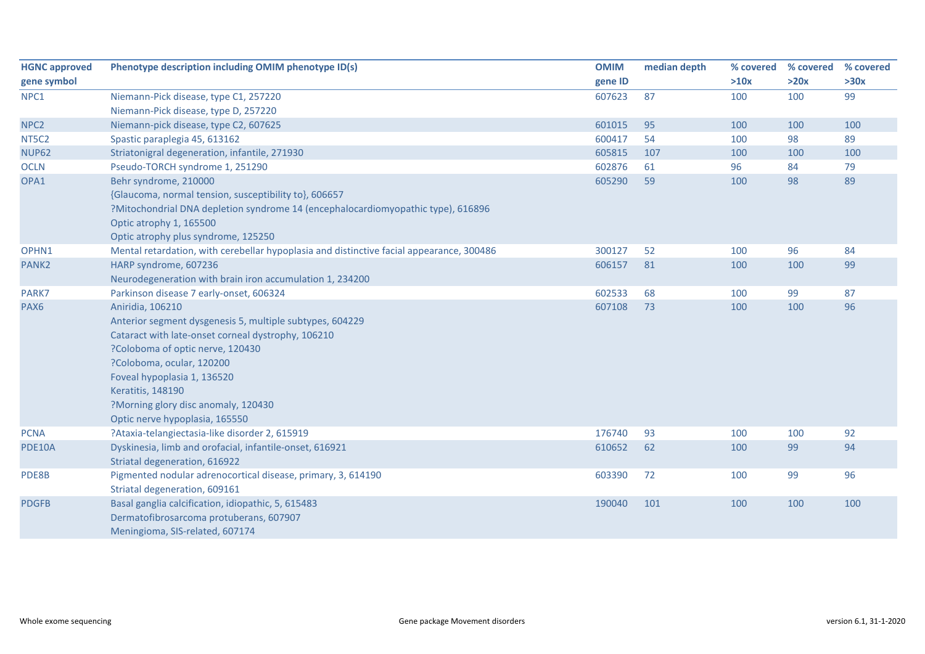| <b>HGNC approved</b> | Phenotype description including OMIM phenotype ID(s)                                     | <b>OMIM</b> | median depth | % covered | % covered | % covered |
|----------------------|------------------------------------------------------------------------------------------|-------------|--------------|-----------|-----------|-----------|
| gene symbol          |                                                                                          | gene ID     |              | >10x      | >20x      | >30x      |
| NPC1                 | Niemann-Pick disease, type C1, 257220                                                    | 607623      | 87           | 100       | 100       | 99        |
|                      | Niemann-Pick disease, type D, 257220                                                     |             |              |           |           |           |
| NPC <sub>2</sub>     | Niemann-pick disease, type C2, 607625                                                    | 601015      | 95           | 100       | 100       | 100       |
| NT5C2                | Spastic paraplegia 45, 613162                                                            | 600417      | 54           | 100       | 98        | 89        |
| <b>NUP62</b>         | Striatonigral degeneration, infantile, 271930                                            | 605815      | 107          | 100       | 100       | 100       |
| <b>OCLN</b>          | Pseudo-TORCH syndrome 1, 251290                                                          | 602876      | 61           | 96        | 84        | 79        |
| OPA1                 | Behr syndrome, 210000                                                                    | 605290      | 59           | 100       | 98        | 89        |
|                      | {Glaucoma, normal tension, susceptibility to}, 606657                                    |             |              |           |           |           |
|                      | ?Mitochondrial DNA depletion syndrome 14 (encephalocardiomyopathic type), 616896         |             |              |           |           |           |
|                      | Optic atrophy 1, 165500                                                                  |             |              |           |           |           |
|                      | Optic atrophy plus syndrome, 125250                                                      |             |              |           |           |           |
| OPHN1                | Mental retardation, with cerebellar hypoplasia and distinctive facial appearance, 300486 | 300127      | 52           | 100       | 96        | 84        |
| PANK <sub>2</sub>    | HARP syndrome, 607236                                                                    | 606157      | 81           | 100       | 100       | 99        |
|                      | Neurodegeneration with brain iron accumulation 1, 234200                                 |             |              |           |           |           |
| PARK7                | Parkinson disease 7 early-onset, 606324                                                  | 602533      | 68           | 100       | 99        | 87        |
| PAX6                 | Aniridia, 106210                                                                         | 607108      | 73           | 100       | 100       | 96        |
|                      | Anterior segment dysgenesis 5, multiple subtypes, 604229                                 |             |              |           |           |           |
|                      | Cataract with late-onset corneal dystrophy, 106210                                       |             |              |           |           |           |
|                      | ?Coloboma of optic nerve, 120430                                                         |             |              |           |           |           |
|                      | ?Coloboma, ocular, 120200                                                                |             |              |           |           |           |
|                      | Foveal hypoplasia 1, 136520                                                              |             |              |           |           |           |
|                      | <b>Keratitis, 148190</b>                                                                 |             |              |           |           |           |
|                      | ?Morning glory disc anomaly, 120430                                                      |             |              |           |           |           |
|                      | Optic nerve hypoplasia, 165550                                                           |             |              |           |           |           |
| <b>PCNA</b>          | ?Ataxia-telangiectasia-like disorder 2, 615919                                           | 176740      | 93           | 100       | 100       | 92        |
| <b>PDE10A</b>        | Dyskinesia, limb and orofacial, infantile-onset, 616921                                  | 610652      | 62           | 100       | 99        | 94        |
|                      | Striatal degeneration, 616922                                                            |             |              |           |           |           |
| PDE8B                | Pigmented nodular adrenocortical disease, primary, 3, 614190                             | 603390      | 72           | 100       | 99        | 96        |
|                      | Striatal degeneration, 609161                                                            |             |              |           |           |           |
| <b>PDGFB</b>         | Basal ganglia calcification, idiopathic, 5, 615483                                       | 190040      | 101          | 100       | 100       | 100       |
|                      | Dermatofibrosarcoma protuberans, 607907                                                  |             |              |           |           |           |
|                      | Meningioma, SIS-related, 607174                                                          |             |              |           |           |           |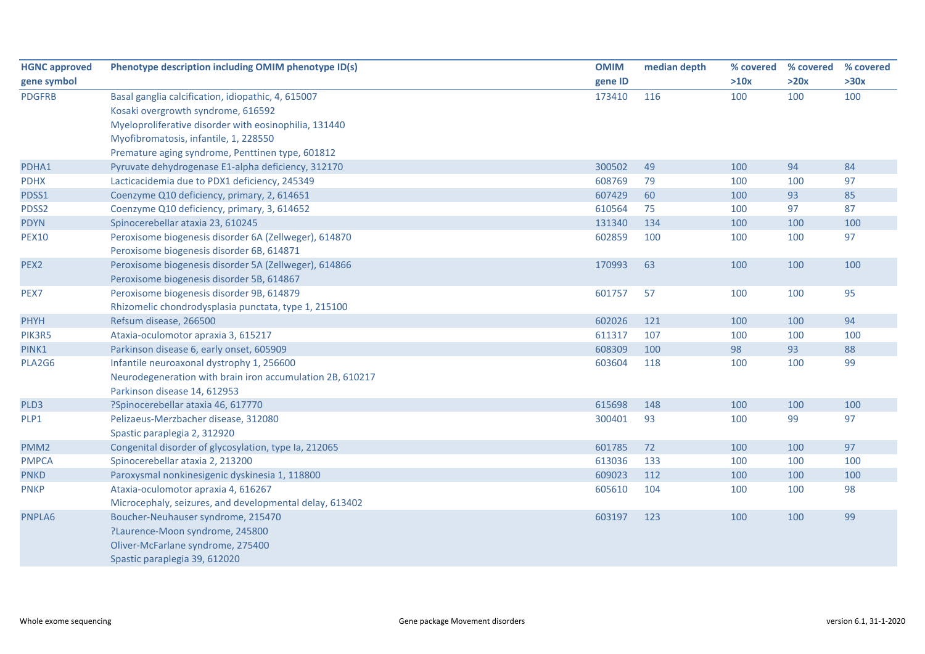| <b>HGNC approved</b> | Phenotype description including OMIM phenotype ID(s)      | <b>OMIM</b> | median depth | % covered | % covered | % covered |
|----------------------|-----------------------------------------------------------|-------------|--------------|-----------|-----------|-----------|
| gene symbol          |                                                           | gene ID     |              | >10x      | >20x      | >30x      |
| <b>PDGFRB</b>        | Basal ganglia calcification, idiopathic, 4, 615007        | 173410      | 116          | 100       | 100       | 100       |
|                      | Kosaki overgrowth syndrome, 616592                        |             |              |           |           |           |
|                      | Myeloproliferative disorder with eosinophilia, 131440     |             |              |           |           |           |
|                      | Myofibromatosis, infantile, 1, 228550                     |             |              |           |           |           |
|                      | Premature aging syndrome, Penttinen type, 601812          |             |              |           |           |           |
| PDHA1                | Pyruvate dehydrogenase E1-alpha deficiency, 312170        | 300502      | 49           | 100       | 94        | 84        |
| <b>PDHX</b>          | Lacticacidemia due to PDX1 deficiency, 245349             | 608769      | 79           | 100       | 100       | 97        |
| PDSS1                | Coenzyme Q10 deficiency, primary, 2, 614651               | 607429      | 60           | 100       | 93        | 85        |
| PDSS2                | Coenzyme Q10 deficiency, primary, 3, 614652               | 610564      | 75           | 100       | 97        | 87        |
| <b>PDYN</b>          | Spinocerebellar ataxia 23, 610245                         | 131340      | 134          | 100       | 100       | 100       |
| <b>PEX10</b>         | Peroxisome biogenesis disorder 6A (Zellweger), 614870     | 602859      | 100          | 100       | 100       | 97        |
|                      | Peroxisome biogenesis disorder 6B, 614871                 |             |              |           |           |           |
| PEX2                 | Peroxisome biogenesis disorder 5A (Zellweger), 614866     | 170993      | 63           | 100       | 100       | 100       |
|                      | Peroxisome biogenesis disorder 5B, 614867                 |             |              |           |           |           |
| PEX7                 | Peroxisome biogenesis disorder 9B, 614879                 | 601757      | 57           | 100       | 100       | 95        |
|                      | Rhizomelic chondrodysplasia punctata, type 1, 215100      |             |              |           |           |           |
| <b>PHYH</b>          | Refsum disease, 266500                                    | 602026      | 121          | 100       | 100       | 94        |
| PIK3R5               | Ataxia-oculomotor apraxia 3, 615217                       | 611317      | 107          | 100       | 100       | 100       |
| PINK1                | Parkinson disease 6, early onset, 605909                  | 608309      | 100          | 98        | 93        | 88        |
| PLA2G6               | Infantile neuroaxonal dystrophy 1, 256600                 | 603604      | 118          | 100       | 100       | 99        |
|                      | Neurodegeneration with brain iron accumulation 2B, 610217 |             |              |           |           |           |
|                      | Parkinson disease 14, 612953                              |             |              |           |           |           |
| PLD3                 | ?Spinocerebellar ataxia 46, 617770                        | 615698      | 148          | 100       | 100       | 100       |
| PLP1                 | Pelizaeus-Merzbacher disease, 312080                      | 300401      | 93           | 100       | 99        | 97        |
|                      | Spastic paraplegia 2, 312920                              |             |              |           |           |           |
| PMM <sub>2</sub>     | Congenital disorder of glycosylation, type Ia, 212065     | 601785      | 72           | 100       | 100       | 97        |
| <b>PMPCA</b>         | Spinocerebellar ataxia 2, 213200                          | 613036      | 133          | 100       | 100       | 100       |
| <b>PNKD</b>          | Paroxysmal nonkinesigenic dyskinesia 1, 118800            | 609023      | 112          | 100       | 100       | 100       |
| <b>PNKP</b>          | Ataxia-oculomotor apraxia 4, 616267                       | 605610      | 104          | 100       | 100       | 98        |
|                      | Microcephaly, seizures, and developmental delay, 613402   |             |              |           |           |           |
| PNPLA6               | Boucher-Neuhauser syndrome, 215470                        | 603197      | 123          | 100       | 100       | 99        |
|                      | ?Laurence-Moon syndrome, 245800                           |             |              |           |           |           |
|                      | Oliver-McFarlane syndrome, 275400                         |             |              |           |           |           |
|                      | Spastic paraplegia 39, 612020                             |             |              |           |           |           |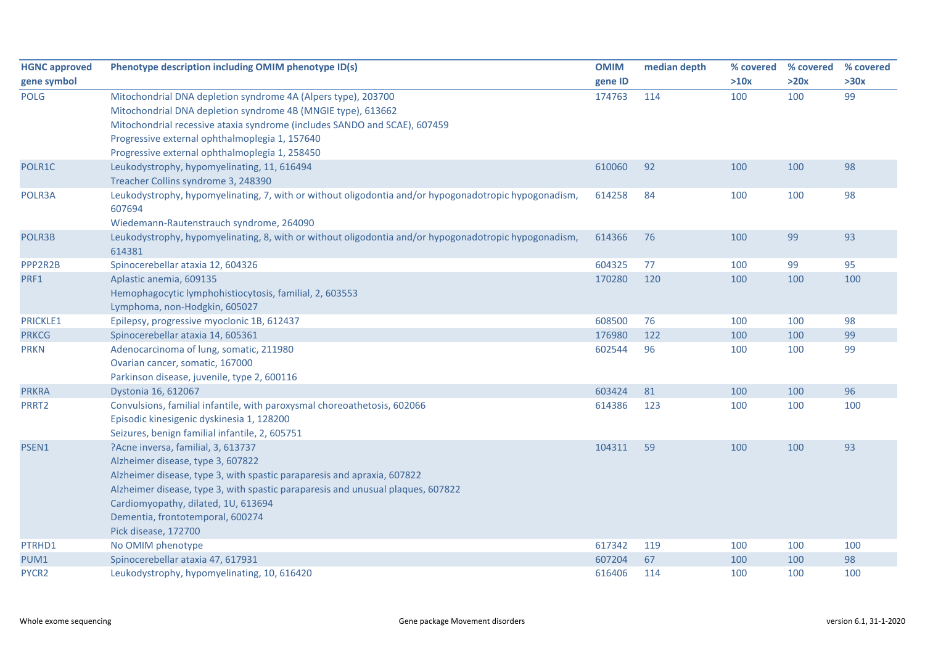| <b>HGNC approved</b> | Phenotype description including OMIM phenotype ID(s)                                                            | <b>OMIM</b> | median depth | % covered | % covered | % covered |
|----------------------|-----------------------------------------------------------------------------------------------------------------|-------------|--------------|-----------|-----------|-----------|
| gene symbol          |                                                                                                                 | gene ID     |              | >10x      | >20x      | >30x      |
| <b>POLG</b>          | Mitochondrial DNA depletion syndrome 4A (Alpers type), 203700                                                   | 174763      | 114          | 100       | 100       | 99        |
|                      | Mitochondrial DNA depletion syndrome 4B (MNGIE type), 613662                                                    |             |              |           |           |           |
|                      | Mitochondrial recessive ataxia syndrome (includes SANDO and SCAE), 607459                                       |             |              |           |           |           |
|                      | Progressive external ophthalmoplegia 1, 157640                                                                  |             |              |           |           |           |
|                      | Progressive external ophthalmoplegia 1, 258450                                                                  |             |              |           |           |           |
| POLR1C               | Leukodystrophy, hypomyelinating, 11, 616494                                                                     | 610060      | 92           | 100       | 100       | 98        |
|                      | Treacher Collins syndrome 3, 248390                                                                             |             |              |           |           |           |
| POLR3A               | Leukodystrophy, hypomyelinating, 7, with or without oligodontia and/or hypogonadotropic hypogonadism,<br>607694 | 614258      | 84           | 100       | 100       | 98        |
|                      | Wiedemann-Rautenstrauch syndrome, 264090                                                                        |             |              |           |           |           |
| POLR3B               | Leukodystrophy, hypomyelinating, 8, with or without oligodontia and/or hypogonadotropic hypogonadism,<br>614381 | 614366      | 76           | 100       | 99        | 93        |
| PPP2R2B              | Spinocerebellar ataxia 12, 604326                                                                               | 604325      | 77           | 100       | 99        | 95        |
| PRF1                 | Aplastic anemia, 609135                                                                                         | 170280      | 120          | 100       | 100       | 100       |
|                      | Hemophagocytic lymphohistiocytosis, familial, 2, 603553<br>Lymphoma, non-Hodgkin, 605027                        |             |              |           |           |           |
| PRICKLE1             | Epilepsy, progressive myoclonic 1B, 612437                                                                      | 608500      | 76           | 100       | 100       | 98        |
| <b>PRKCG</b>         | Spinocerebellar ataxia 14, 605361                                                                               | 176980      | 122          | 100       | 100       | 99        |
| <b>PRKN</b>          | Adenocarcinoma of lung, somatic, 211980                                                                         | 602544      | 96           | 100       | 100       | 99        |
|                      | Ovarian cancer, somatic, 167000                                                                                 |             |              |           |           |           |
|                      | Parkinson disease, juvenile, type 2, 600116                                                                     |             |              |           |           |           |
| <b>PRKRA</b>         | Dystonia 16, 612067                                                                                             | 603424      | 81           | 100       | 100       | 96        |
| PRRT2                | Convulsions, familial infantile, with paroxysmal choreoathetosis, 602066                                        | 614386      | 123          | 100       | 100       | 100       |
|                      | Episodic kinesigenic dyskinesia 1, 128200                                                                       |             |              |           |           |           |
|                      | Seizures, benign familial infantile, 2, 605751                                                                  |             |              |           |           |           |
| PSEN1                | ?Acne inversa, familial, 3, 613737                                                                              | 104311      | 59           | 100       | 100       | 93        |
|                      | Alzheimer disease, type 3, 607822                                                                               |             |              |           |           |           |
|                      | Alzheimer disease, type 3, with spastic paraparesis and apraxia, 607822                                         |             |              |           |           |           |
|                      | Alzheimer disease, type 3, with spastic paraparesis and unusual plaques, 607822                                 |             |              |           |           |           |
|                      | Cardiomyopathy, dilated, 1U, 613694                                                                             |             |              |           |           |           |
|                      | Dementia, frontotemporal, 600274                                                                                |             |              |           |           |           |
|                      | Pick disease, 172700                                                                                            |             |              |           |           |           |
| PTRHD1               | No OMIM phenotype                                                                                               | 617342      | 119          | 100       | 100       | 100       |
| PUM1                 | Spinocerebellar ataxia 47, 617931                                                                               | 607204      | 67           | 100       | 100       | 98        |
| PYCR2                | Leukodystrophy, hypomyelinating, 10, 616420                                                                     | 616406      | 114          | 100       | 100       | 100       |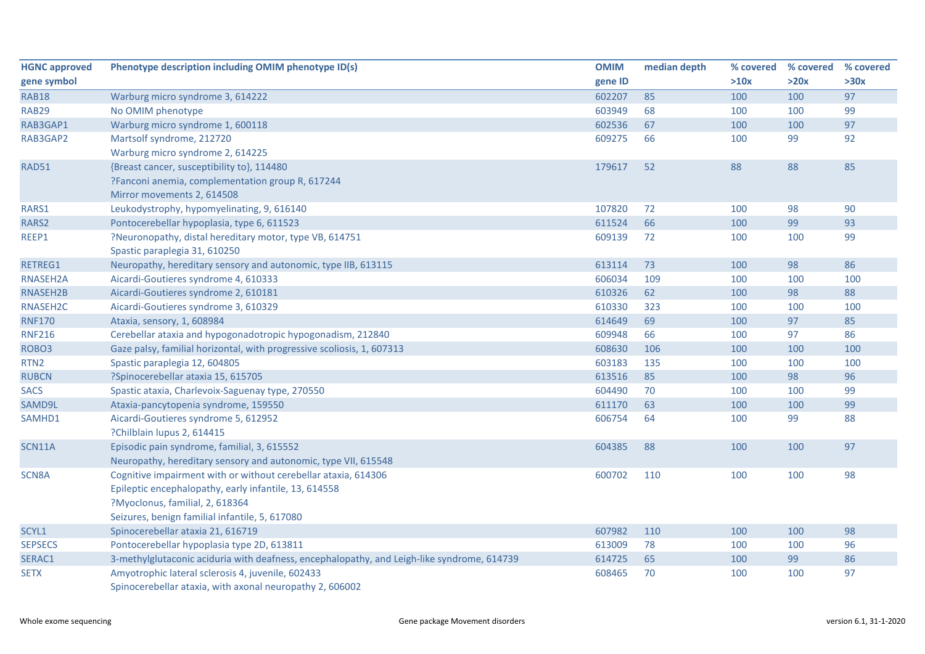| <b>HGNC approved</b> | Phenotype description including OMIM phenotype ID(s)                                       | <b>OMIM</b> | median depth | % covered | % covered | % covered |
|----------------------|--------------------------------------------------------------------------------------------|-------------|--------------|-----------|-----------|-----------|
| gene symbol          |                                                                                            | gene ID     |              | >10x      | >20x      | >30x      |
| <b>RAB18</b>         | Warburg micro syndrome 3, 614222                                                           | 602207      | 85           | 100       | 100       | 97        |
| <b>RAB29</b>         | No OMIM phenotype                                                                          | 603949      | 68           | 100       | 100       | 99        |
| RAB3GAP1             | Warburg micro syndrome 1, 600118                                                           | 602536      | 67           | 100       | 100       | 97        |
| RAB3GAP2             | Martsolf syndrome, 212720                                                                  | 609275      | 66           | 100       | 99        | 92        |
|                      | Warburg micro syndrome 2, 614225                                                           |             |              |           |           |           |
| RAD51                | {Breast cancer, susceptibility to}, 114480                                                 | 179617      | 52           | 88        | 88        | 85        |
|                      | ?Fanconi anemia, complementation group R, 617244                                           |             |              |           |           |           |
|                      | Mirror movements 2, 614508                                                                 |             |              |           |           |           |
| RARS1                | Leukodystrophy, hypomyelinating, 9, 616140                                                 | 107820      | 72           | 100       | 98        | 90        |
| RARS2                | Pontocerebellar hypoplasia, type 6, 611523                                                 | 611524      | 66           | 100       | 99        | 93        |
| REEP1                | ?Neuronopathy, distal hereditary motor, type VB, 614751                                    | 609139      | 72           | 100       | 100       | 99        |
|                      | Spastic paraplegia 31, 610250                                                              |             |              |           |           |           |
| RETREG1              | Neuropathy, hereditary sensory and autonomic, type IIB, 613115                             | 613114      | 73           | 100       | 98        | 86        |
| RNASEH2A             | Aicardi-Goutieres syndrome 4, 610333                                                       | 606034      | 109          | 100       | 100       | 100       |
| RNASEH2B             | Aicardi-Goutieres syndrome 2, 610181                                                       | 610326      | 62           | 100       | 98        | 88        |
| RNASEH2C             | Aicardi-Goutieres syndrome 3, 610329                                                       | 610330      | 323          | 100       | 100       | 100       |
| <b>RNF170</b>        | Ataxia, sensory, 1, 608984                                                                 | 614649      | 69           | 100       | 97        | 85        |
| <b>RNF216</b>        | Cerebellar ataxia and hypogonadotropic hypogonadism, 212840                                | 609948      | 66           | 100       | 97        | 86        |
| ROBO <sub>3</sub>    | Gaze palsy, familial horizontal, with progressive scoliosis, 1, 607313                     | 608630      | 106          | 100       | 100       | 100       |
| RTN <sub>2</sub>     | Spastic paraplegia 12, 604805                                                              | 603183      | 135          | 100       | 100       | 100       |
| <b>RUBCN</b>         | ?Spinocerebellar ataxia 15, 615705                                                         | 613516      | 85           | 100       | 98        | 96        |
| <b>SACS</b>          | Spastic ataxia, Charlevoix-Saguenay type, 270550                                           | 604490      | 70           | 100       | 100       | 99        |
| SAMD9L               | Ataxia-pancytopenia syndrome, 159550                                                       | 611170      | 63           | 100       | 100       | 99        |
| SAMHD1               | Aicardi-Goutieres syndrome 5, 612952                                                       | 606754      | 64           | 100       | 99        | 88        |
|                      | ?Chilblain lupus 2, 614415                                                                 |             |              |           |           |           |
| SCN11A               | Episodic pain syndrome, familial, 3, 615552                                                | 604385      | 88           | 100       | 100       | 97        |
|                      | Neuropathy, hereditary sensory and autonomic, type VII, 615548                             |             |              |           |           |           |
| SCN8A                | Cognitive impairment with or without cerebellar ataxia, 614306                             | 600702      | 110          | 100       | 100       | 98        |
|                      | Epileptic encephalopathy, early infantile, 13, 614558                                      |             |              |           |           |           |
|                      | ?Myoclonus, familial, 2, 618364                                                            |             |              |           |           |           |
|                      | Seizures, benign familial infantile, 5, 617080                                             |             |              |           |           |           |
| SCYL1                | Spinocerebellar ataxia 21, 616719                                                          | 607982      | 110          | 100       | 100       | 98        |
| <b>SEPSECS</b>       | Pontocerebellar hypoplasia type 2D, 613811                                                 | 613009      | 78           | 100       | 100       | 96        |
| SERAC1               | 3-methylglutaconic aciduria with deafness, encephalopathy, and Leigh-like syndrome, 614739 | 614725      | 65           | 100       | 99        | 86        |
| <b>SETX</b>          | Amyotrophic lateral sclerosis 4, juvenile, 602433                                          | 608465      | 70           | 100       | 100       | 97        |
|                      | Spinocerebellar ataxia, with axonal neuropathy 2, 606002                                   |             |              |           |           |           |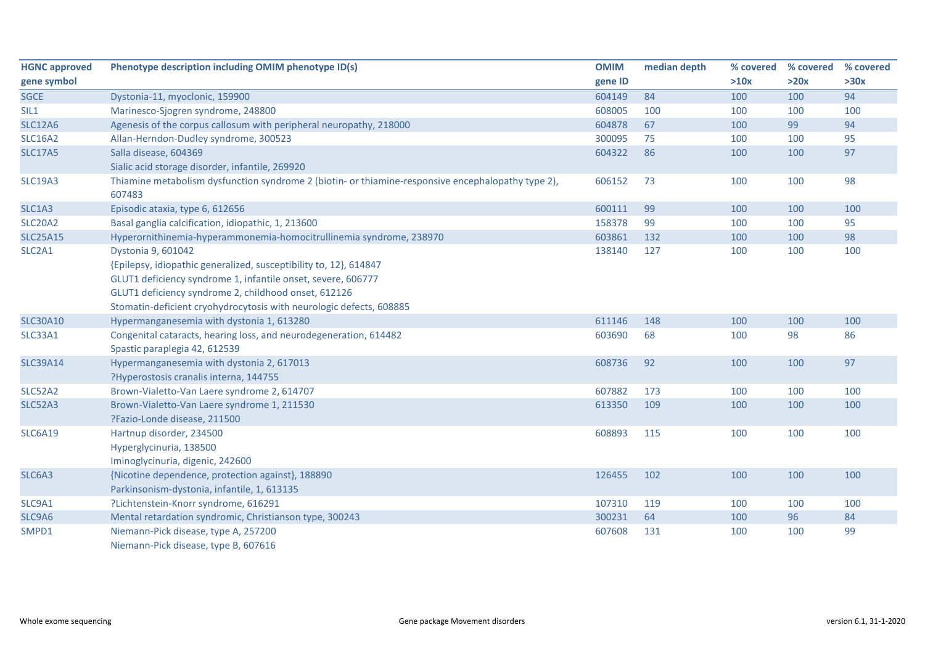| <b>HGNC approved</b> | Phenotype description including OMIM phenotype ID(s)                                               | <b>OMIM</b> | median depth | % covered | % covered | % covered |
|----------------------|----------------------------------------------------------------------------------------------------|-------------|--------------|-----------|-----------|-----------|
| gene symbol          |                                                                                                    | gene ID     |              | >10x      | >20x      | >30x      |
| <b>SGCE</b>          | Dystonia-11, myoclonic, 159900                                                                     | 604149      | 84           | 100       | 100       | 94        |
| SIL1                 | Marinesco-Sjogren syndrome, 248800                                                                 | 608005      | 100          | 100       | 100       | 100       |
| <b>SLC12A6</b>       | Agenesis of the corpus callosum with peripheral neuropathy, 218000                                 | 604878      | 67           | 100       | 99        | 94        |
| <b>SLC16A2</b>       | Allan-Herndon-Dudley syndrome, 300523                                                              | 300095      | 75           | 100       | 100       | 95        |
| <b>SLC17A5</b>       | Salla disease, 604369                                                                              | 604322      | 86           | 100       | 100       | 97        |
|                      | Sialic acid storage disorder, infantile, 269920                                                    |             |              |           |           |           |
| <b>SLC19A3</b>       | Thiamine metabolism dysfunction syndrome 2 (biotin- or thiamine-responsive encephalopathy type 2), | 606152      | 73           | 100       | 100       | 98        |
|                      | 607483                                                                                             |             |              |           |           |           |
| SLC1A3               | Episodic ataxia, type 6, 612656                                                                    | 600111      | 99           | 100       | 100       | 100       |
| <b>SLC20A2</b>       | Basal ganglia calcification, idiopathic, 1, 213600                                                 | 158378      | 99           | 100       | 100       | 95        |
| <b>SLC25A15</b>      | Hyperornithinemia-hyperammonemia-homocitrullinemia syndrome, 238970                                | 603861      | 132          | 100       | 100       | 98        |
| SLC2A1               | Dystonia 9, 601042                                                                                 | 138140      | 127          | 100       | 100       | 100       |
|                      | {Epilepsy, idiopathic generalized, susceptibility to, 12}, 614847                                  |             |              |           |           |           |
|                      | GLUT1 deficiency syndrome 1, infantile onset, severe, 606777                                       |             |              |           |           |           |
|                      | GLUT1 deficiency syndrome 2, childhood onset, 612126                                               |             |              |           |           |           |
|                      | Stomatin-deficient cryohydrocytosis with neurologic defects, 608885                                |             |              |           |           |           |
| <b>SLC30A10</b>      | Hypermanganesemia with dystonia 1, 613280                                                          | 611146      | 148          | 100       | 100       | 100       |
| SLC33A1              | Congenital cataracts, hearing loss, and neurodegeneration, 614482                                  | 603690      | 68           | 100       | 98        | 86        |
|                      | Spastic paraplegia 42, 612539                                                                      |             |              |           |           |           |
| <b>SLC39A14</b>      | Hypermanganesemia with dystonia 2, 617013                                                          | 608736      | 92           | 100       | 100       | 97        |
|                      | ?Hyperostosis cranalis interna, 144755                                                             |             |              |           |           |           |
| SLC52A2              | Brown-Vialetto-Van Laere syndrome 2, 614707                                                        | 607882      | 173          | 100       | 100       | 100       |
| <b>SLC52A3</b>       | Brown-Vialetto-Van Laere syndrome 1, 211530                                                        | 613350      | 109          | 100       | 100       | 100       |
|                      | ?Fazio-Londe disease, 211500                                                                       |             |              |           |           |           |
| <b>SLC6A19</b>       | Hartnup disorder, 234500                                                                           | 608893      | 115          | 100       | 100       | 100       |
|                      | Hyperglycinuria, 138500                                                                            |             |              |           |           |           |
|                      | Iminoglycinuria, digenic, 242600                                                                   |             |              |           |           |           |
| SLC6A3               | {Nicotine dependence, protection against}, 188890                                                  | 126455      | 102          | 100       | 100       | 100       |
|                      | Parkinsonism-dystonia, infantile, 1, 613135                                                        |             |              |           |           |           |
| SLC9A1               | ?Lichtenstein-Knorr syndrome, 616291                                                               | 107310      | 119          | 100       | 100       | 100       |
| SLC9A6               | Mental retardation syndromic, Christianson type, 300243                                            | 300231      | 64           | 100       | 96        | 84        |
| SMPD1                | Niemann-Pick disease, type A, 257200                                                               | 607608      | 131          | 100       | 100       | 99        |
|                      | Niemann-Pick disease, type B, 607616                                                               |             |              |           |           |           |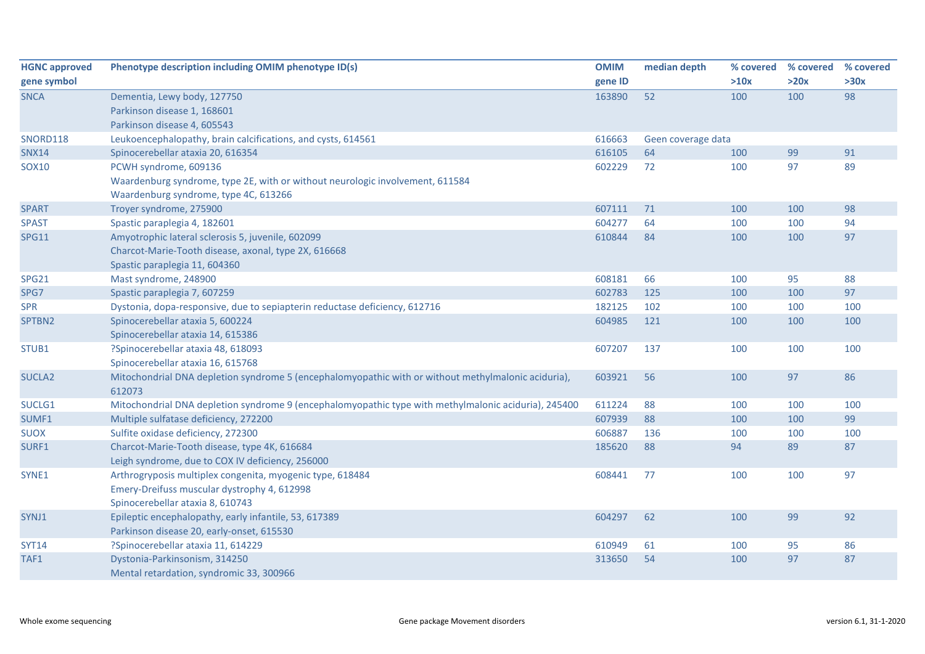| <b>HGNC approved</b> | Phenotype description including OMIM phenotype ID(s)                                                          | <b>OMIM</b> | median depth       | % covered | % covered | % covered |
|----------------------|---------------------------------------------------------------------------------------------------------------|-------------|--------------------|-----------|-----------|-----------|
| gene symbol          |                                                                                                               | gene ID     |                    | >10x      | >20x      | >30x      |
| <b>SNCA</b>          | Dementia, Lewy body, 127750                                                                                   | 163890      | 52                 | 100       | 100       | 98        |
|                      | Parkinson disease 1, 168601                                                                                   |             |                    |           |           |           |
|                      | Parkinson disease 4, 605543                                                                                   |             |                    |           |           |           |
| <b>SNORD118</b>      | Leukoencephalopathy, brain calcifications, and cysts, 614561                                                  | 616663      | Geen coverage data |           |           |           |
| <b>SNX14</b>         | Spinocerebellar ataxia 20, 616354                                                                             | 616105      | 64                 | 100       | 99        | 91        |
| SOX10                | PCWH syndrome, 609136                                                                                         | 602229      | 72                 | 100       | 97        | 89        |
|                      | Waardenburg syndrome, type 2E, with or without neurologic involvement, 611584                                 |             |                    |           |           |           |
|                      | Waardenburg syndrome, type 4C, 613266                                                                         |             |                    |           |           |           |
| <b>SPART</b>         | Troyer syndrome, 275900                                                                                       | 607111      | 71                 | 100       | 100       | 98        |
| <b>SPAST</b>         | Spastic paraplegia 4, 182601                                                                                  | 604277      | 64                 | 100       | 100       | 94        |
| <b>SPG11</b>         | Amyotrophic lateral sclerosis 5, juvenile, 602099                                                             | 610844      | 84                 | 100       | 100       | 97        |
|                      | Charcot-Marie-Tooth disease, axonal, type 2X, 616668                                                          |             |                    |           |           |           |
|                      | Spastic paraplegia 11, 604360                                                                                 |             |                    |           |           |           |
| <b>SPG21</b>         | Mast syndrome, 248900                                                                                         | 608181      | 66                 | 100       | 95        | 88        |
| SPG7                 | Spastic paraplegia 7, 607259                                                                                  | 602783      | 125                | 100       | 100       | 97        |
| <b>SPR</b>           | Dystonia, dopa-responsive, due to sepiapterin reductase deficiency, 612716                                    | 182125      | 102                | 100       | 100       | 100       |
| SPTBN2               | Spinocerebellar ataxia 5, 600224                                                                              | 604985      | 121                | 100       | 100       | 100       |
|                      | Spinocerebellar ataxia 14, 615386                                                                             |             |                    |           |           |           |
| STUB1                | ?Spinocerebellar ataxia 48, 618093                                                                            | 607207      | 137                | 100       | 100       | 100       |
|                      | Spinocerebellar ataxia 16, 615768                                                                             |             |                    |           |           |           |
| SUCLA <sub>2</sub>   | Mitochondrial DNA depletion syndrome 5 (encephalomyopathic with or without methylmalonic aciduria),<br>612073 | 603921      | 56                 | 100       | 97        | 86        |
| SUCLG1               | Mitochondrial DNA depletion syndrome 9 (encephalomyopathic type with methylmalonic aciduria), 245400          | 611224      | 88                 | 100       | 100       | 100       |
| SUMF1                | Multiple sulfatase deficiency, 272200                                                                         | 607939      | 88                 | 100       | 100       | 99        |
| <b>SUOX</b>          | Sulfite oxidase deficiency, 272300                                                                            | 606887      | 136                | 100       | 100       | 100       |
| SURF1                | Charcot-Marie-Tooth disease, type 4K, 616684                                                                  | 185620      | 88                 | 94        | 89        | 87        |
|                      | Leigh syndrome, due to COX IV deficiency, 256000                                                              |             |                    |           |           |           |
| SYNE1                | Arthrogryposis multiplex congenita, myogenic type, 618484                                                     | 608441      | 77                 | 100       | 100       | 97        |
|                      | Emery-Dreifuss muscular dystrophy 4, 612998                                                                   |             |                    |           |           |           |
|                      | Spinocerebellar ataxia 8, 610743                                                                              |             |                    |           |           |           |
| SYNJ1                | Epileptic encephalopathy, early infantile, 53, 617389                                                         | 604297      | 62                 | 100       | 99        | 92        |
|                      | Parkinson disease 20, early-onset, 615530                                                                     |             |                    |           |           |           |
| <b>SYT14</b>         | ?Spinocerebellar ataxia 11, 614229                                                                            | 610949      | 61                 | 100       | 95        | 86        |
| TAF1                 | Dystonia-Parkinsonism, 314250                                                                                 | 313650      | 54                 | 100       | 97        | 87        |
|                      | Mental retardation, syndromic 33, 300966                                                                      |             |                    |           |           |           |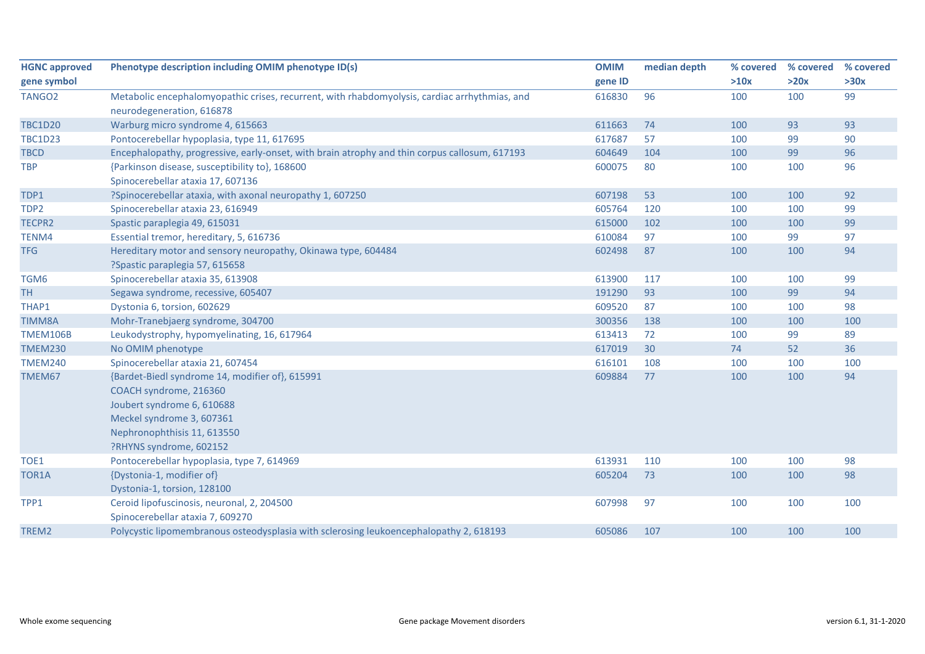| <b>HGNC approved</b> | Phenotype description including OMIM phenotype ID(s)                                          | <b>OMIM</b> | median depth | % covered | % covered | % covered |
|----------------------|-----------------------------------------------------------------------------------------------|-------------|--------------|-----------|-----------|-----------|
| gene symbol          |                                                                                               | gene ID     |              | >10x      | >20x      | >30x      |
| TANGO <sub>2</sub>   | Metabolic encephalomyopathic crises, recurrent, with rhabdomyolysis, cardiac arrhythmias, and | 616830      | 96           | 100       | 100       | 99        |
|                      | neurodegeneration, 616878                                                                     |             |              |           |           |           |
| <b>TBC1D20</b>       | Warburg micro syndrome 4, 615663                                                              | 611663      | 74           | 100       | 93        | 93        |
| <b>TBC1D23</b>       | Pontocerebellar hypoplasia, type 11, 617695                                                   | 617687      | 57           | 100       | 99        | 90        |
| <b>TBCD</b>          | Encephalopathy, progressive, early-onset, with brain atrophy and thin corpus callosum, 617193 | 604649      | 104          | 100       | 99        | 96        |
| <b>TBP</b>           | {Parkinson disease, susceptibility to}, 168600                                                | 600075      | 80           | 100       | 100       | 96        |
|                      | Spinocerebellar ataxia 17, 607136                                                             |             |              |           |           |           |
| TDP1                 | ?Spinocerebellar ataxia, with axonal neuropathy 1, 607250                                     | 607198      | 53           | 100       | 100       | 92        |
| TDP2                 | Spinocerebellar ataxia 23, 616949                                                             | 605764      | 120          | 100       | 100       | 99        |
| TECPR2               | Spastic paraplegia 49, 615031                                                                 | 615000      | 102          | 100       | 100       | 99        |
| TENM4                | Essential tremor, hereditary, 5, 616736                                                       | 610084      | 97           | 100       | 99        | 97        |
| <b>TFG</b>           | Hereditary motor and sensory neuropathy, Okinawa type, 604484                                 | 602498      | 87           | 100       | 100       | 94        |
|                      | ?Spastic paraplegia 57, 615658                                                                |             |              |           |           |           |
| TGM6                 | Spinocerebellar ataxia 35, 613908                                                             | 613900      | 117          | 100       | 100       | 99        |
| <b>TH</b>            | Segawa syndrome, recessive, 605407                                                            | 191290      | 93           | 100       | 99        | 94        |
| THAP1                | Dystonia 6, torsion, 602629                                                                   | 609520      | 87           | 100       | 100       | 98        |
| <b>TIMM8A</b>        | Mohr-Tranebjaerg syndrome, 304700                                                             | 300356      | 138          | 100       | 100       | 100       |
| <b>TMEM106B</b>      | Leukodystrophy, hypomyelinating, 16, 617964                                                   | 613413      | 72           | 100       | 99        | 89        |
| <b>TMEM230</b>       | No OMIM phenotype                                                                             | 617019      | 30           | 74        | 52        | 36        |
| <b>TMEM240</b>       | Spinocerebellar ataxia 21, 607454                                                             | 616101      | 108          | 100       | 100       | 100       |
| TMEM67               | {Bardet-Biedl syndrome 14, modifier of}, 615991                                               | 609884      | 77           | 100       | 100       | 94        |
|                      | COACH syndrome, 216360                                                                        |             |              |           |           |           |
|                      | Joubert syndrome 6, 610688                                                                    |             |              |           |           |           |
|                      | Meckel syndrome 3, 607361                                                                     |             |              |           |           |           |
|                      | Nephronophthisis 11, 613550                                                                   |             |              |           |           |           |
|                      | ?RHYNS syndrome, 602152                                                                       |             |              |           |           |           |
| TOE1                 | Pontocerebellar hypoplasia, type 7, 614969                                                    | 613931      | 110          | 100       | 100       | 98        |
| TOR1A                | {Dystonia-1, modifier of}                                                                     | 605204      | 73           | 100       | 100       | 98        |
|                      | Dystonia-1, torsion, 128100                                                                   |             |              |           |           |           |
| TPP1                 | Ceroid lipofuscinosis, neuronal, 2, 204500                                                    | 607998      | 97           | 100       | 100       | 100       |
|                      | Spinocerebellar ataxia 7, 609270                                                              |             |              |           |           |           |
| TREM2                | Polycystic lipomembranous osteodysplasia with sclerosing leukoencephalopathy 2, 618193        | 605086      | 107          | 100       | 100       | 100       |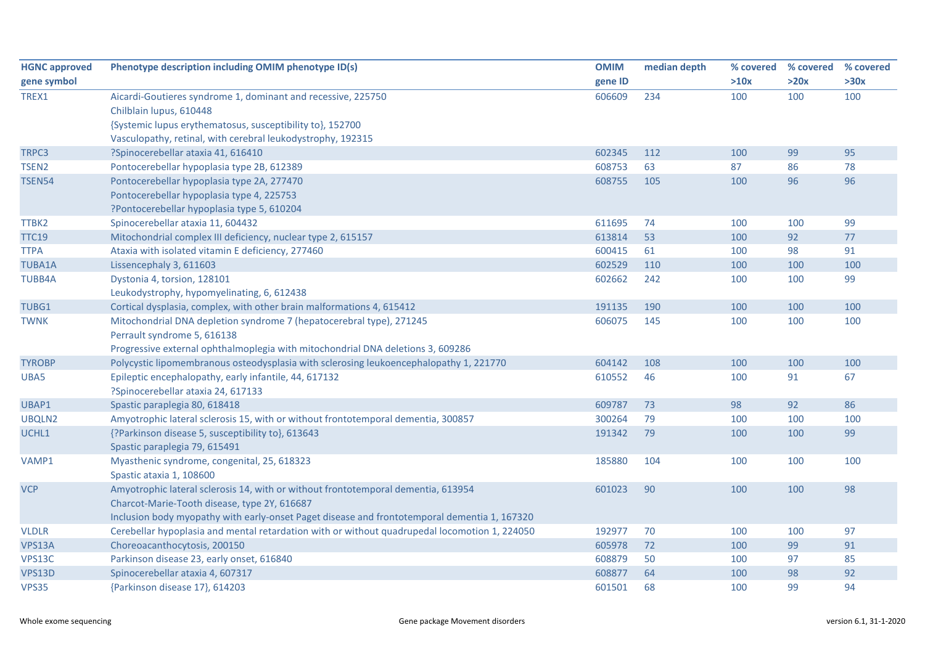| <b>HGNC approved</b> | Phenotype description including OMIM phenotype ID(s)                                          | <b>OMIM</b> | median depth | % covered | % covered | % covered |
|----------------------|-----------------------------------------------------------------------------------------------|-------------|--------------|-----------|-----------|-----------|
| gene symbol          |                                                                                               | gene ID     |              | >10x      | >20x      | >30x      |
| TREX1                | Aicardi-Goutieres syndrome 1, dominant and recessive, 225750                                  | 606609      | 234          | 100       | 100       | 100       |
|                      | Chilblain lupus, 610448                                                                       |             |              |           |           |           |
|                      | {Systemic lupus erythematosus, susceptibility to}, 152700                                     |             |              |           |           |           |
|                      | Vasculopathy, retinal, with cerebral leukodystrophy, 192315                                   |             |              |           |           |           |
| TRPC3                | ?Spinocerebellar ataxia 41, 616410                                                            | 602345      | 112          | 100       | 99        | 95        |
| TSEN <sub>2</sub>    | Pontocerebellar hypoplasia type 2B, 612389                                                    | 608753      | 63           | 87        | 86        | 78        |
| <b>TSEN54</b>        | Pontocerebellar hypoplasia type 2A, 277470                                                    | 608755      | 105          | 100       | 96        | 96        |
|                      | Pontocerebellar hypoplasia type 4, 225753                                                     |             |              |           |           |           |
|                      | ?Pontocerebellar hypoplasia type 5, 610204                                                    |             |              |           |           |           |
| TTBK2                | Spinocerebellar ataxia 11, 604432                                                             | 611695      | 74           | 100       | 100       | 99        |
| <b>TTC19</b>         | Mitochondrial complex III deficiency, nuclear type 2, 615157                                  | 613814      | 53           | 100       | 92        | 77        |
| <b>TTPA</b>          | Ataxia with isolated vitamin E deficiency, 277460                                             | 600415      | 61           | 100       | 98        | 91        |
| <b>TUBA1A</b>        | Lissencephaly 3, 611603                                                                       | 602529      | 110          | 100       | 100       | 100       |
| <b>TUBB4A</b>        | Dystonia 4, torsion, 128101                                                                   | 602662      | 242          | 100       | 100       | 99        |
|                      | Leukodystrophy, hypomyelinating, 6, 612438                                                    |             |              |           |           |           |
| TUBG1                | Cortical dysplasia, complex, with other brain malformations 4, 615412                         | 191135      | 190          | 100       | 100       | 100       |
| <b>TWNK</b>          | Mitochondrial DNA depletion syndrome 7 (hepatocerebral type), 271245                          | 606075      | 145          | 100       | 100       | 100       |
|                      | Perrault syndrome 5, 616138                                                                   |             |              |           |           |           |
|                      | Progressive external ophthalmoplegia with mitochondrial DNA deletions 3, 609286               |             |              |           |           |           |
| <b>TYROBP</b>        | Polycystic lipomembranous osteodysplasia with sclerosing leukoencephalopathy 1, 221770        | 604142      | 108          | 100       | 100       | 100       |
| UBA5                 | Epileptic encephalopathy, early infantile, 44, 617132                                         | 610552      | 46           | 100       | 91        | 67        |
|                      | ?Spinocerebellar ataxia 24, 617133                                                            |             |              |           |           |           |
| UBAP1                | Spastic paraplegia 80, 618418                                                                 | 609787      | 73           | 98        | 92        | 86        |
| UBQLN2               | Amyotrophic lateral sclerosis 15, with or without frontotemporal dementia, 300857             | 300264      | 79           | 100       | 100       | 100       |
| UCHL1                | {?Parkinson disease 5, susceptibility to}, 613643                                             | 191342      | 79           | 100       | 100       | 99        |
|                      | Spastic paraplegia 79, 615491                                                                 |             |              |           |           |           |
| VAMP1                | Myasthenic syndrome, congenital, 25, 618323                                                   | 185880      | 104          | 100       | 100       | 100       |
|                      | Spastic ataxia 1, 108600                                                                      |             |              |           |           |           |
| <b>VCP</b>           | Amyotrophic lateral sclerosis 14, with or without frontotemporal dementia, 613954             | 601023      | 90           | 100       | 100       | 98        |
|                      | Charcot-Marie-Tooth disease, type 2Y, 616687                                                  |             |              |           |           |           |
|                      | Inclusion body myopathy with early-onset Paget disease and frontotemporal dementia 1, 167320  |             |              |           |           |           |
| <b>VLDLR</b>         | Cerebellar hypoplasia and mental retardation with or without quadrupedal locomotion 1, 224050 | 192977      | 70           | 100       | 100       | 97        |
| VPS13A               | Choreoacanthocytosis, 200150                                                                  | 605978      | 72           | 100       | 99        | 91        |
| VPS13C               | Parkinson disease 23, early onset, 616840                                                     | 608879      | 50           | 100       | 97        | 85        |
| VPS13D               | Spinocerebellar ataxia 4, 607317                                                              | 608877      | 64           | 100       | 98        | 92        |
| <b>VPS35</b>         | {Parkinson disease 17}, 614203                                                                | 601501      | 68           | 100       | 99        | 94        |